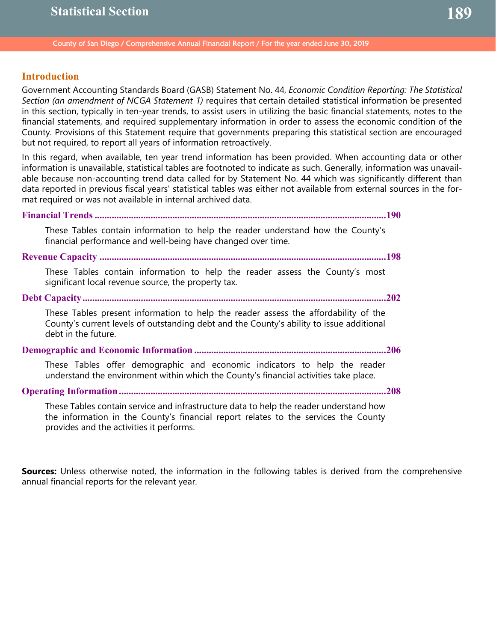County of San Diego / Comprehensive Annual Financial Report / For the year ended June 30, 2019

# **Introduction**

Government Accounting Standards Board (GASB) Statement No. 44, *Economic Condition Reporting: The Statistical Section (an amendment of NCGA Statement 1)* requires that certain detailed statistical information be presented in this section, typically in ten-year trends, to assist users in utilizing the basic financial statements, notes to the financial statements, and required supplementary information in order to assess the economic condition of the County. Provisions of this Statement require that governments preparing this statistical section are encouraged but not required, to report all years of information retroactively.

In this regard, when available, ten year trend information has been provided. When accounting data or other information is unavailable, statistical tables are footnoted to indicate as such. Generally, information was unavailable because non-accounting trend data called for by Statement No. 44 which was significantly different than data reported in previous fiscal years' statistical tables was either not available from external sources in the format required or was not available in internal archived data.

**Financial Trends ........................................................................................................................190**

These Tables contain information to help the reader understand how the County's financial performance and well-being have changed over time.

**Revenue Capacity ......................................................................................................................198**

These Tables contain information to help the reader assess the County's most significant local revenue source, the property tax.

**Debt Capacity.............................................................................................................................202**

These Tables present information to help the reader assess the affordability of the County's current levels of outstanding debt and the County's ability to issue additional debt in the future.

**Demographic and Economic Information ...............................................................................206**

These Tables offer demographic and economic indicators to help the reader understand the environment within which the County's financial activities take place.

**Operating Information ..............................................................................................................208**

These Tables contain service and infrastructure data to help the reader understand how the information in the County's financial report relates to the services the County provides and the activities it performs.

**Sources:** Unless otherwise noted, the information in the following tables is derived from the comprehensive annual financial reports for the relevant year.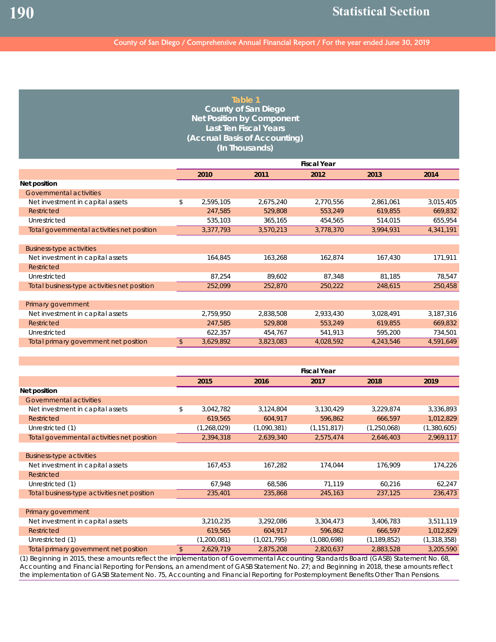| Table 1                          |
|----------------------------------|
| County of San Diego              |
| <b>Net Position by Component</b> |
| <b>Last Ten Fiscal Years</b>     |
| (Accrual Basis of Accounting)    |
| (In Thousands)                   |

|                                             |            | <b>Fiscal Year</b> |           |           |           |           |  |  |
|---------------------------------------------|------------|--------------------|-----------|-----------|-----------|-----------|--|--|
|                                             |            | 2010               | 2011      | 2012      | 2013      | 2014      |  |  |
| Net position                                |            |                    |           |           |           |           |  |  |
| Governmental activities                     |            |                    |           |           |           |           |  |  |
| Net investment in capital assets            | \$         | 2,595,105          | 2,675,240 | 2,770,556 | 2,861,061 | 3,015,405 |  |  |
| Restricted                                  |            | 247,585            | 529,808   | 553,249   | 619,855   | 669,832   |  |  |
| Unrestricted                                |            | 535,103            | 365,165   | 454,565   | 514,015   | 655,954   |  |  |
| Total governmental activities net position  |            | 3,377,793          | 3,570,213 | 3,778,370 | 3,994,931 | 4,341,191 |  |  |
|                                             |            |                    |           |           |           |           |  |  |
| <b>Business-type activities</b>             |            |                    |           |           |           |           |  |  |
| Net investment in capital assets            |            | 164,845            | 163,268   | 162,874   | 167,430   | 171,911   |  |  |
| Restricted                                  |            |                    |           |           |           |           |  |  |
| Unrestricted                                |            | 87,254             | 89,602    | 87,348    | 81,185    | 78,547    |  |  |
| Total business-type activities net position |            | 252,099            | 252,870   | 250,222   | 248,615   | 250,458   |  |  |
|                                             |            |                    |           |           |           |           |  |  |
| Primary government                          |            |                    |           |           |           |           |  |  |
| Net investment in capital assets            |            | 2,759,950          | 2,838,508 | 2,933,430 | 3,028,491 | 3,187,316 |  |  |
| Restricted                                  |            | 247,585            | 529,808   | 553,249   | 619,855   | 669,832   |  |  |
| Unrestricted                                |            | 622,357            | 454,767   | 541,913   | 595,200   | 734,501   |  |  |
| Total primary government net position       | $\sqrt{2}$ | 3,629,892          | 3,823,083 | 4,028,592 | 4,243,546 | 4,591,649 |  |  |

|                                             |                 |             | <b>Fiscal Year</b> |               |               |
|---------------------------------------------|-----------------|-------------|--------------------|---------------|---------------|
|                                             | 2015            | 2016        | 2017               | 2018          | 2019          |
| Net position                                |                 |             |                    |               |               |
| Governmental activities                     |                 |             |                    |               |               |
| Net investment in capital assets            | \$<br>3,042,782 | 3,124,804   | 3,130,429          | 3,229,874     | 3,336,893     |
| Restricted                                  | 619,565         | 604,917     | 596,862            | 666,597       | 1,012,829     |
| Unrestricted (1)                            | (1,268,029)     | (1,090,381) | (1, 151, 817)      | (1,250,068)   | (1,380,605)   |
| Total governmental activities net position  | 2,394,318       | 2,639,340   | 2,575,474          | 2,646,403     | 2,969,117     |
|                                             |                 |             |                    |               |               |
| <b>Business-type activities</b>             |                 |             |                    |               |               |
| Net investment in capital assets            | 167,453         | 167,282     | 174,044            | 176,909       | 174,226       |
| Restricted                                  |                 |             |                    |               |               |
| Unrestricted (1)                            | 67,948          | 68,586      | 71,119             | 60,216        | 62,247        |
| Total business-type activities net position | 235,401         | 235,868     | 245,163            | 237,125       | 236,473       |
|                                             |                 |             |                    |               |               |
| Primary government                          |                 |             |                    |               |               |
| Net investment in capital assets            | 3,210,235       | 3,292,086   | 3,304,473          | 3,406,783     | 3,511,119     |
| Restricted                                  | 619,565         | 604,917     | 596,862            | 666,597       | 1,012,829     |
| Unrestricted (1)                            | (1,200,081)     | (1,021,795) | (1,080,698)        | (1, 189, 852) | (1, 318, 358) |
| Total primary government net position       | \$<br>2,629,719 | 2,875,208   | 2,820,637          | 2,883,528     | 3,205,590     |

(1) Beginning in 2015, these amounts reflect the implementation of Governmental Accounting Standards Board (GASB) Statement No. 68, *Accounting and Financial Reporting for Pensions, an amendment of GASB Statement No. 27*; and Beginning in 2018, these amounts reflect the implementation of GASB Statement No. 75, *Accounting and Financial Reporting for Postemployment Benefits Other Than Pensions*.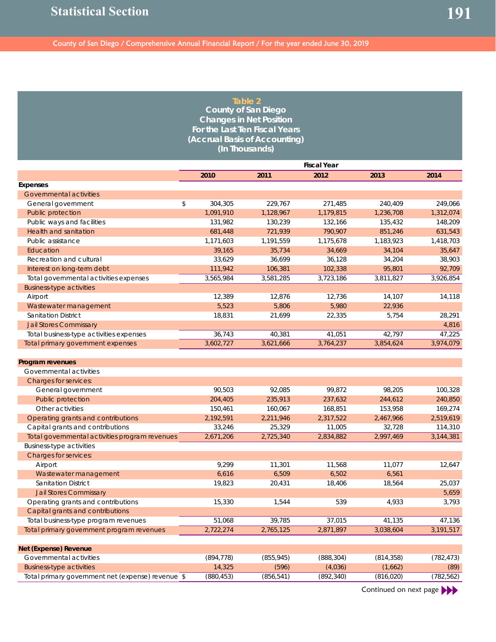|                                                   |               | Table 2                        |                    |            |            |
|---------------------------------------------------|---------------|--------------------------------|--------------------|------------|------------|
|                                                   |               | <b>County of San Diego</b>     |                    |            |            |
|                                                   |               | <b>Changes in Net Position</b> |                    |            |            |
|                                                   |               | For the Last Ten Fiscal Years  |                    |            |            |
|                                                   |               | (Accrual Basis of Accounting)  |                    |            |            |
|                                                   |               | (In Thousands)                 |                    |            |            |
|                                                   |               |                                | <b>Fiscal Year</b> |            |            |
|                                                   | 2010          | 2011                           | 2012               | 2013       | 2014       |
| <b>Expenses</b>                                   |               |                                |                    |            |            |
| <b>Governmental activities</b>                    |               |                                |                    |            |            |
| General government                                | \$<br>304,305 | 229,767                        | 271,485            | 240,409    | 249,066    |
| Public protection                                 | 1,091,910     | 1,128,967                      | 1,179,815          | 1,236,708  | 1,312,074  |
| Public ways and facilities                        | 131,982       | 130,239                        | 132,166            | 135,432    | 148,209    |
| <b>Health and sanitation</b>                      | 681,448       | 721,939                        | 790,907            | 851,246    | 631,543    |
| Public assistance                                 | 1,171,603     | 1,191,559                      | 1,175,678          | 1,183,923  | 1,418,703  |
| Education                                         | 39,165        | 35,734                         | 34,669             | 34,104     | 35,647     |
| Recreation and cultural                           | 33,629        | 36,699                         | 36,128             | 34,204     | 38,903     |
| Interest on long-term debt                        | 111,942       | 106,381                        | 102,338            | 95,801     | 92,709     |
| Total governmental activities expenses            | 3,565,984     | 3,581,285                      | 3,723,186          | 3,811,827  | 3,926,854  |
| <b>Business-type activities</b>                   |               |                                |                    |            |            |
| Airport                                           | 12,389        | 12,876                         | 12,736             | 14,107     | 14,118     |
| Wastewater management                             | 5,523         | 5,806                          | 5,980              | 22,936     |            |
| <b>Sanitation District</b>                        | 18,831        | 21,699                         | 22,335             | 5,754      | 28,291     |
| <b>Jail Stores Commissary</b>                     |               |                                |                    |            | 4,816      |
| Total business-type activities expenses           | 36,743        | 40,381                         | 41,051             | 42,797     | 47,225     |
| Total primary government expenses                 | 3,602,727     | 3,621,666                      | 3,764,237          | 3,854,624  | 3,974,079  |
|                                                   |               |                                |                    |            |            |
| Program revenues                                  |               |                                |                    |            |            |
| Governmental activities                           |               |                                |                    |            |            |
| Charges for services:                             |               |                                |                    |            |            |
| General government                                | 90,503        | 92,085                         | 99,872             | 98,205     | 100,328    |
| Public protection                                 | 204,405       | 235,913                        | 237,632            | 244,612    | 240,850    |
| Other activities                                  | 150,461       | 160,067                        | 168,851            | 153,958    | 169,274    |
| Operating grants and contributions                | 2,192,591     | 2,211,946                      | 2,317,522          | 2,467,966  | 2,519,619  |
| Capital grants and contributions                  | 33,246        | 25,329                         | 11,005             | 32,728     | 114,310    |
| Total governmental activities program revenues    | 2,671,206     | 2,725,340                      | 2,834,882          | 2,997,469  | 3,144,381  |
| <b>Business-type activities</b>                   |               |                                |                    |            |            |
| <b>Charges for services:</b>                      |               |                                |                    |            |            |
| Airport                                           | 9,299         | 11,301                         | 11,568             | 11,077     | 12,647     |
| Wastewater management                             | 6,616         | 6,509                          | 6,502              | 6,561      |            |
| Sanitation District                               | 19,823        | 20,431                         | 18,406             | 18,564     | 25,037     |
| <b>Jail Stores Commissary</b>                     |               |                                |                    |            | 5,659      |
| Operating grants and contributions                | 15,330        | 1,544                          | 539                | 4,933      | 3,793      |
| Capital grants and contributions                  |               |                                |                    |            | 47,136     |
| Total business-type program revenues              | 51,068        | 39,785                         | 37,015             | 41,135     |            |
| Total primary government program revenues         | 2,722,274     | 2,765,125                      | 2,871,897          | 3,038,604  | 3,191,517  |
| <b>Net (Expense) Revenue</b>                      |               |                                |                    |            |            |
| Governmental activities                           | (894, 778)    | (855, 945)                     | (888, 304)         | (814, 358) | (782, 473) |
| <b>Business-type activities</b>                   | 14,325        | (596)                          | (4,036)            | (1,662)    | (89)       |
| Total primary government net (expense) revenue \$ | (880, 453)    | (856, 541)                     | (892, 340)         | (816, 020) | (782, 562) |
|                                                   |               |                                |                    |            |            |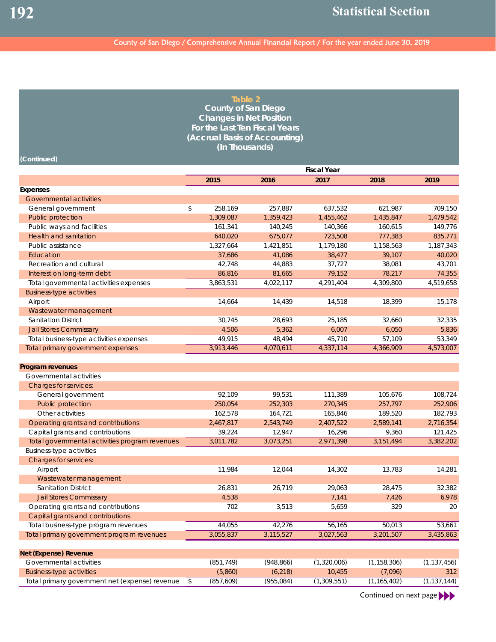| <b>Fiscal Year</b><br>2015<br>2016<br>2018<br>2019<br>2017<br><b>Governmental activities</b><br>\$<br>258,169<br>257,887<br>637,532<br>621,987<br>709,150<br>General government<br>Public protection<br>1,455,462<br>1,479,542<br>1,309,087<br>1,359,423<br>1,435,847<br>Public ways and facilities<br>149,776<br>161,341<br>140,245<br>140,366<br>160,615<br>Health and sanitation<br>675,077<br>723,508<br>777,383<br>835,771<br>640,020<br>Public assistance<br>1,327,664<br>1,421,851<br>1,179,180<br>1,158,563<br>1,187,343<br>Education<br>37,686<br>41,086<br>38,477<br>39,107<br>40,020<br>Recreation and cultural<br>42,748<br>44,883<br>37,727<br>38,081<br>43,701<br>78,217<br>74,355<br>Interest on long-term debt<br>86,816<br>81,665<br>79,152<br>3,863,531<br>4,022,117<br>4,291,404<br>4,309,800<br>4,519,658<br>Total governmental activities expenses<br><b>Business-type activities</b><br>14,664<br>15,178<br>Airport<br>14,439<br>14,518<br>18,399<br>Wastewater management<br>30,745<br>25,185<br><b>Sanitation District</b><br>28,693<br>32,660<br>32,335<br>4,506<br>5,362<br><b>Jail Stores Commissary</b><br>6,007<br>6,050<br>5,836<br>Total business-type activities expenses<br>49,915<br>48,494<br>45,710<br>57,109<br>53,349<br>3,913,446<br>Total primary government expenses<br>4,070,611<br>4,337,114<br>4,366,909<br>4,573,007<br>Program revenues<br>Governmental activities<br><b>Charges for services:</b><br>99,531<br>111,389<br>108,724<br>General government<br>92,109<br>105,676<br>Public protection<br>252,303<br>270,345<br>257,797<br>252,906<br>250,054<br>Other activities<br>162,578<br>164,721<br>165,846<br>189,520<br>182,793<br>2,716,354<br>Operating grants and contributions<br>2,467,817<br>2,543,749<br>2,407,522<br>2,589,141<br>Capital grants and contributions<br>16,296<br>121,425<br>39,224<br>12,947<br>9,360<br>Total governmental activities program revenues<br>2,971,398<br>3,011,782<br>3,073,251<br>3,151,494<br>3,382,202<br><b>Business-type activities</b><br><b>Charges for services:</b><br>Airport<br>11,984<br>12,044<br>14,302<br>13,783<br>14,281<br>Wastewater management<br>Sanitation District<br>26,831<br>26,719<br>29,063<br>28,475<br>32,382<br><b>Jail Stores Commissary</b><br>4,538<br>7,141<br>7,426<br>6,978<br>Operating grants and contributions<br>702<br>3,513<br>5,659<br>329<br>20<br>Capital grants and contributions<br>44,055<br>42,276<br>56,165<br>50,013<br>53,661<br>Total business-type program revenues<br>3,115,527<br>3,027,563<br>3,201,507<br>3,435,863<br>3,055,837<br>Total primary government program revenues<br>Governmental activities<br>(851, 749)<br>(948, 866)<br>(1,320,006)<br>(1, 158, 306)<br>(1, 137, 456)<br><b>Business-type activities</b><br>(5,860)<br>(6, 218)<br>10,455<br>(7,096)<br>312<br>Total primary government net (expense) revenue<br>(857, 609)<br>(955, 084)<br>(1,309,551)<br>(1, 165, 402)<br>(1, 137, 144)<br>\$ | (Continued)                  | Table 2<br><b>County of San Diego</b><br><b>Changes in Net Position</b><br>For the Last Ten Fiscal Years<br>(Accrual Basis of Accounting)<br>(In Thousands) |  |  |
|----------------------------------------------------------------------------------------------------------------------------------------------------------------------------------------------------------------------------------------------------------------------------------------------------------------------------------------------------------------------------------------------------------------------------------------------------------------------------------------------------------------------------------------------------------------------------------------------------------------------------------------------------------------------------------------------------------------------------------------------------------------------------------------------------------------------------------------------------------------------------------------------------------------------------------------------------------------------------------------------------------------------------------------------------------------------------------------------------------------------------------------------------------------------------------------------------------------------------------------------------------------------------------------------------------------------------------------------------------------------------------------------------------------------------------------------------------------------------------------------------------------------------------------------------------------------------------------------------------------------------------------------------------------------------------------------------------------------------------------------------------------------------------------------------------------------------------------------------------------------------------------------------------------------------------------------------------------------------------------------------------------------------------------------------------------------------------------------------------------------------------------------------------------------------------------------------------------------------------------------------------------------------------------------------------------------------------------------------------------------------------------------------------------------------------------------------------------------------------------------------------------------------------------------------------------------------------------------------------------------------------------------------------------------------------------------------------------------------------------------------------------------------------------------------------------------------------------------------------------------------------------------------------------------------------------------------------------------|------------------------------|-------------------------------------------------------------------------------------------------------------------------------------------------------------|--|--|
|                                                                                                                                                                                                                                                                                                                                                                                                                                                                                                                                                                                                                                                                                                                                                                                                                                                                                                                                                                                                                                                                                                                                                                                                                                                                                                                                                                                                                                                                                                                                                                                                                                                                                                                                                                                                                                                                                                                                                                                                                                                                                                                                                                                                                                                                                                                                                                                                                                                                                                                                                                                                                                                                                                                                                                                                                                                                                                                                                                      |                              |                                                                                                                                                             |  |  |
|                                                                                                                                                                                                                                                                                                                                                                                                                                                                                                                                                                                                                                                                                                                                                                                                                                                                                                                                                                                                                                                                                                                                                                                                                                                                                                                                                                                                                                                                                                                                                                                                                                                                                                                                                                                                                                                                                                                                                                                                                                                                                                                                                                                                                                                                                                                                                                                                                                                                                                                                                                                                                                                                                                                                                                                                                                                                                                                                                                      |                              |                                                                                                                                                             |  |  |
|                                                                                                                                                                                                                                                                                                                                                                                                                                                                                                                                                                                                                                                                                                                                                                                                                                                                                                                                                                                                                                                                                                                                                                                                                                                                                                                                                                                                                                                                                                                                                                                                                                                                                                                                                                                                                                                                                                                                                                                                                                                                                                                                                                                                                                                                                                                                                                                                                                                                                                                                                                                                                                                                                                                                                                                                                                                                                                                                                                      | Expenses                     |                                                                                                                                                             |  |  |
|                                                                                                                                                                                                                                                                                                                                                                                                                                                                                                                                                                                                                                                                                                                                                                                                                                                                                                                                                                                                                                                                                                                                                                                                                                                                                                                                                                                                                                                                                                                                                                                                                                                                                                                                                                                                                                                                                                                                                                                                                                                                                                                                                                                                                                                                                                                                                                                                                                                                                                                                                                                                                                                                                                                                                                                                                                                                                                                                                                      |                              |                                                                                                                                                             |  |  |
|                                                                                                                                                                                                                                                                                                                                                                                                                                                                                                                                                                                                                                                                                                                                                                                                                                                                                                                                                                                                                                                                                                                                                                                                                                                                                                                                                                                                                                                                                                                                                                                                                                                                                                                                                                                                                                                                                                                                                                                                                                                                                                                                                                                                                                                                                                                                                                                                                                                                                                                                                                                                                                                                                                                                                                                                                                                                                                                                                                      |                              |                                                                                                                                                             |  |  |
|                                                                                                                                                                                                                                                                                                                                                                                                                                                                                                                                                                                                                                                                                                                                                                                                                                                                                                                                                                                                                                                                                                                                                                                                                                                                                                                                                                                                                                                                                                                                                                                                                                                                                                                                                                                                                                                                                                                                                                                                                                                                                                                                                                                                                                                                                                                                                                                                                                                                                                                                                                                                                                                                                                                                                                                                                                                                                                                                                                      |                              |                                                                                                                                                             |  |  |
|                                                                                                                                                                                                                                                                                                                                                                                                                                                                                                                                                                                                                                                                                                                                                                                                                                                                                                                                                                                                                                                                                                                                                                                                                                                                                                                                                                                                                                                                                                                                                                                                                                                                                                                                                                                                                                                                                                                                                                                                                                                                                                                                                                                                                                                                                                                                                                                                                                                                                                                                                                                                                                                                                                                                                                                                                                                                                                                                                                      |                              |                                                                                                                                                             |  |  |
|                                                                                                                                                                                                                                                                                                                                                                                                                                                                                                                                                                                                                                                                                                                                                                                                                                                                                                                                                                                                                                                                                                                                                                                                                                                                                                                                                                                                                                                                                                                                                                                                                                                                                                                                                                                                                                                                                                                                                                                                                                                                                                                                                                                                                                                                                                                                                                                                                                                                                                                                                                                                                                                                                                                                                                                                                                                                                                                                                                      |                              |                                                                                                                                                             |  |  |
|                                                                                                                                                                                                                                                                                                                                                                                                                                                                                                                                                                                                                                                                                                                                                                                                                                                                                                                                                                                                                                                                                                                                                                                                                                                                                                                                                                                                                                                                                                                                                                                                                                                                                                                                                                                                                                                                                                                                                                                                                                                                                                                                                                                                                                                                                                                                                                                                                                                                                                                                                                                                                                                                                                                                                                                                                                                                                                                                                                      |                              |                                                                                                                                                             |  |  |
|                                                                                                                                                                                                                                                                                                                                                                                                                                                                                                                                                                                                                                                                                                                                                                                                                                                                                                                                                                                                                                                                                                                                                                                                                                                                                                                                                                                                                                                                                                                                                                                                                                                                                                                                                                                                                                                                                                                                                                                                                                                                                                                                                                                                                                                                                                                                                                                                                                                                                                                                                                                                                                                                                                                                                                                                                                                                                                                                                                      |                              |                                                                                                                                                             |  |  |
|                                                                                                                                                                                                                                                                                                                                                                                                                                                                                                                                                                                                                                                                                                                                                                                                                                                                                                                                                                                                                                                                                                                                                                                                                                                                                                                                                                                                                                                                                                                                                                                                                                                                                                                                                                                                                                                                                                                                                                                                                                                                                                                                                                                                                                                                                                                                                                                                                                                                                                                                                                                                                                                                                                                                                                                                                                                                                                                                                                      |                              |                                                                                                                                                             |  |  |
|                                                                                                                                                                                                                                                                                                                                                                                                                                                                                                                                                                                                                                                                                                                                                                                                                                                                                                                                                                                                                                                                                                                                                                                                                                                                                                                                                                                                                                                                                                                                                                                                                                                                                                                                                                                                                                                                                                                                                                                                                                                                                                                                                                                                                                                                                                                                                                                                                                                                                                                                                                                                                                                                                                                                                                                                                                                                                                                                                                      |                              |                                                                                                                                                             |  |  |
|                                                                                                                                                                                                                                                                                                                                                                                                                                                                                                                                                                                                                                                                                                                                                                                                                                                                                                                                                                                                                                                                                                                                                                                                                                                                                                                                                                                                                                                                                                                                                                                                                                                                                                                                                                                                                                                                                                                                                                                                                                                                                                                                                                                                                                                                                                                                                                                                                                                                                                                                                                                                                                                                                                                                                                                                                                                                                                                                                                      |                              |                                                                                                                                                             |  |  |
|                                                                                                                                                                                                                                                                                                                                                                                                                                                                                                                                                                                                                                                                                                                                                                                                                                                                                                                                                                                                                                                                                                                                                                                                                                                                                                                                                                                                                                                                                                                                                                                                                                                                                                                                                                                                                                                                                                                                                                                                                                                                                                                                                                                                                                                                                                                                                                                                                                                                                                                                                                                                                                                                                                                                                                                                                                                                                                                                                                      |                              |                                                                                                                                                             |  |  |
|                                                                                                                                                                                                                                                                                                                                                                                                                                                                                                                                                                                                                                                                                                                                                                                                                                                                                                                                                                                                                                                                                                                                                                                                                                                                                                                                                                                                                                                                                                                                                                                                                                                                                                                                                                                                                                                                                                                                                                                                                                                                                                                                                                                                                                                                                                                                                                                                                                                                                                                                                                                                                                                                                                                                                                                                                                                                                                                                                                      |                              |                                                                                                                                                             |  |  |
|                                                                                                                                                                                                                                                                                                                                                                                                                                                                                                                                                                                                                                                                                                                                                                                                                                                                                                                                                                                                                                                                                                                                                                                                                                                                                                                                                                                                                                                                                                                                                                                                                                                                                                                                                                                                                                                                                                                                                                                                                                                                                                                                                                                                                                                                                                                                                                                                                                                                                                                                                                                                                                                                                                                                                                                                                                                                                                                                                                      |                              |                                                                                                                                                             |  |  |
|                                                                                                                                                                                                                                                                                                                                                                                                                                                                                                                                                                                                                                                                                                                                                                                                                                                                                                                                                                                                                                                                                                                                                                                                                                                                                                                                                                                                                                                                                                                                                                                                                                                                                                                                                                                                                                                                                                                                                                                                                                                                                                                                                                                                                                                                                                                                                                                                                                                                                                                                                                                                                                                                                                                                                                                                                                                                                                                                                                      |                              |                                                                                                                                                             |  |  |
|                                                                                                                                                                                                                                                                                                                                                                                                                                                                                                                                                                                                                                                                                                                                                                                                                                                                                                                                                                                                                                                                                                                                                                                                                                                                                                                                                                                                                                                                                                                                                                                                                                                                                                                                                                                                                                                                                                                                                                                                                                                                                                                                                                                                                                                                                                                                                                                                                                                                                                                                                                                                                                                                                                                                                                                                                                                                                                                                                                      |                              |                                                                                                                                                             |  |  |
|                                                                                                                                                                                                                                                                                                                                                                                                                                                                                                                                                                                                                                                                                                                                                                                                                                                                                                                                                                                                                                                                                                                                                                                                                                                                                                                                                                                                                                                                                                                                                                                                                                                                                                                                                                                                                                                                                                                                                                                                                                                                                                                                                                                                                                                                                                                                                                                                                                                                                                                                                                                                                                                                                                                                                                                                                                                                                                                                                                      |                              |                                                                                                                                                             |  |  |
|                                                                                                                                                                                                                                                                                                                                                                                                                                                                                                                                                                                                                                                                                                                                                                                                                                                                                                                                                                                                                                                                                                                                                                                                                                                                                                                                                                                                                                                                                                                                                                                                                                                                                                                                                                                                                                                                                                                                                                                                                                                                                                                                                                                                                                                                                                                                                                                                                                                                                                                                                                                                                                                                                                                                                                                                                                                                                                                                                                      |                              |                                                                                                                                                             |  |  |
|                                                                                                                                                                                                                                                                                                                                                                                                                                                                                                                                                                                                                                                                                                                                                                                                                                                                                                                                                                                                                                                                                                                                                                                                                                                                                                                                                                                                                                                                                                                                                                                                                                                                                                                                                                                                                                                                                                                                                                                                                                                                                                                                                                                                                                                                                                                                                                                                                                                                                                                                                                                                                                                                                                                                                                                                                                                                                                                                                                      |                              |                                                                                                                                                             |  |  |
|                                                                                                                                                                                                                                                                                                                                                                                                                                                                                                                                                                                                                                                                                                                                                                                                                                                                                                                                                                                                                                                                                                                                                                                                                                                                                                                                                                                                                                                                                                                                                                                                                                                                                                                                                                                                                                                                                                                                                                                                                                                                                                                                                                                                                                                                                                                                                                                                                                                                                                                                                                                                                                                                                                                                                                                                                                                                                                                                                                      |                              |                                                                                                                                                             |  |  |
|                                                                                                                                                                                                                                                                                                                                                                                                                                                                                                                                                                                                                                                                                                                                                                                                                                                                                                                                                                                                                                                                                                                                                                                                                                                                                                                                                                                                                                                                                                                                                                                                                                                                                                                                                                                                                                                                                                                                                                                                                                                                                                                                                                                                                                                                                                                                                                                                                                                                                                                                                                                                                                                                                                                                                                                                                                                                                                                                                                      |                              |                                                                                                                                                             |  |  |
|                                                                                                                                                                                                                                                                                                                                                                                                                                                                                                                                                                                                                                                                                                                                                                                                                                                                                                                                                                                                                                                                                                                                                                                                                                                                                                                                                                                                                                                                                                                                                                                                                                                                                                                                                                                                                                                                                                                                                                                                                                                                                                                                                                                                                                                                                                                                                                                                                                                                                                                                                                                                                                                                                                                                                                                                                                                                                                                                                                      |                              |                                                                                                                                                             |  |  |
|                                                                                                                                                                                                                                                                                                                                                                                                                                                                                                                                                                                                                                                                                                                                                                                                                                                                                                                                                                                                                                                                                                                                                                                                                                                                                                                                                                                                                                                                                                                                                                                                                                                                                                                                                                                                                                                                                                                                                                                                                                                                                                                                                                                                                                                                                                                                                                                                                                                                                                                                                                                                                                                                                                                                                                                                                                                                                                                                                                      |                              |                                                                                                                                                             |  |  |
|                                                                                                                                                                                                                                                                                                                                                                                                                                                                                                                                                                                                                                                                                                                                                                                                                                                                                                                                                                                                                                                                                                                                                                                                                                                                                                                                                                                                                                                                                                                                                                                                                                                                                                                                                                                                                                                                                                                                                                                                                                                                                                                                                                                                                                                                                                                                                                                                                                                                                                                                                                                                                                                                                                                                                                                                                                                                                                                                                                      |                              |                                                                                                                                                             |  |  |
|                                                                                                                                                                                                                                                                                                                                                                                                                                                                                                                                                                                                                                                                                                                                                                                                                                                                                                                                                                                                                                                                                                                                                                                                                                                                                                                                                                                                                                                                                                                                                                                                                                                                                                                                                                                                                                                                                                                                                                                                                                                                                                                                                                                                                                                                                                                                                                                                                                                                                                                                                                                                                                                                                                                                                                                                                                                                                                                                                                      |                              |                                                                                                                                                             |  |  |
|                                                                                                                                                                                                                                                                                                                                                                                                                                                                                                                                                                                                                                                                                                                                                                                                                                                                                                                                                                                                                                                                                                                                                                                                                                                                                                                                                                                                                                                                                                                                                                                                                                                                                                                                                                                                                                                                                                                                                                                                                                                                                                                                                                                                                                                                                                                                                                                                                                                                                                                                                                                                                                                                                                                                                                                                                                                                                                                                                                      |                              |                                                                                                                                                             |  |  |
|                                                                                                                                                                                                                                                                                                                                                                                                                                                                                                                                                                                                                                                                                                                                                                                                                                                                                                                                                                                                                                                                                                                                                                                                                                                                                                                                                                                                                                                                                                                                                                                                                                                                                                                                                                                                                                                                                                                                                                                                                                                                                                                                                                                                                                                                                                                                                                                                                                                                                                                                                                                                                                                                                                                                                                                                                                                                                                                                                                      |                              |                                                                                                                                                             |  |  |
|                                                                                                                                                                                                                                                                                                                                                                                                                                                                                                                                                                                                                                                                                                                                                                                                                                                                                                                                                                                                                                                                                                                                                                                                                                                                                                                                                                                                                                                                                                                                                                                                                                                                                                                                                                                                                                                                                                                                                                                                                                                                                                                                                                                                                                                                                                                                                                                                                                                                                                                                                                                                                                                                                                                                                                                                                                                                                                                                                                      |                              |                                                                                                                                                             |  |  |
|                                                                                                                                                                                                                                                                                                                                                                                                                                                                                                                                                                                                                                                                                                                                                                                                                                                                                                                                                                                                                                                                                                                                                                                                                                                                                                                                                                                                                                                                                                                                                                                                                                                                                                                                                                                                                                                                                                                                                                                                                                                                                                                                                                                                                                                                                                                                                                                                                                                                                                                                                                                                                                                                                                                                                                                                                                                                                                                                                                      |                              |                                                                                                                                                             |  |  |
|                                                                                                                                                                                                                                                                                                                                                                                                                                                                                                                                                                                                                                                                                                                                                                                                                                                                                                                                                                                                                                                                                                                                                                                                                                                                                                                                                                                                                                                                                                                                                                                                                                                                                                                                                                                                                                                                                                                                                                                                                                                                                                                                                                                                                                                                                                                                                                                                                                                                                                                                                                                                                                                                                                                                                                                                                                                                                                                                                                      |                              |                                                                                                                                                             |  |  |
|                                                                                                                                                                                                                                                                                                                                                                                                                                                                                                                                                                                                                                                                                                                                                                                                                                                                                                                                                                                                                                                                                                                                                                                                                                                                                                                                                                                                                                                                                                                                                                                                                                                                                                                                                                                                                                                                                                                                                                                                                                                                                                                                                                                                                                                                                                                                                                                                                                                                                                                                                                                                                                                                                                                                                                                                                                                                                                                                                                      |                              |                                                                                                                                                             |  |  |
|                                                                                                                                                                                                                                                                                                                                                                                                                                                                                                                                                                                                                                                                                                                                                                                                                                                                                                                                                                                                                                                                                                                                                                                                                                                                                                                                                                                                                                                                                                                                                                                                                                                                                                                                                                                                                                                                                                                                                                                                                                                                                                                                                                                                                                                                                                                                                                                                                                                                                                                                                                                                                                                                                                                                                                                                                                                                                                                                                                      |                              |                                                                                                                                                             |  |  |
|                                                                                                                                                                                                                                                                                                                                                                                                                                                                                                                                                                                                                                                                                                                                                                                                                                                                                                                                                                                                                                                                                                                                                                                                                                                                                                                                                                                                                                                                                                                                                                                                                                                                                                                                                                                                                                                                                                                                                                                                                                                                                                                                                                                                                                                                                                                                                                                                                                                                                                                                                                                                                                                                                                                                                                                                                                                                                                                                                                      |                              |                                                                                                                                                             |  |  |
|                                                                                                                                                                                                                                                                                                                                                                                                                                                                                                                                                                                                                                                                                                                                                                                                                                                                                                                                                                                                                                                                                                                                                                                                                                                                                                                                                                                                                                                                                                                                                                                                                                                                                                                                                                                                                                                                                                                                                                                                                                                                                                                                                                                                                                                                                                                                                                                                                                                                                                                                                                                                                                                                                                                                                                                                                                                                                                                                                                      |                              |                                                                                                                                                             |  |  |
|                                                                                                                                                                                                                                                                                                                                                                                                                                                                                                                                                                                                                                                                                                                                                                                                                                                                                                                                                                                                                                                                                                                                                                                                                                                                                                                                                                                                                                                                                                                                                                                                                                                                                                                                                                                                                                                                                                                                                                                                                                                                                                                                                                                                                                                                                                                                                                                                                                                                                                                                                                                                                                                                                                                                                                                                                                                                                                                                                                      |                              |                                                                                                                                                             |  |  |
|                                                                                                                                                                                                                                                                                                                                                                                                                                                                                                                                                                                                                                                                                                                                                                                                                                                                                                                                                                                                                                                                                                                                                                                                                                                                                                                                                                                                                                                                                                                                                                                                                                                                                                                                                                                                                                                                                                                                                                                                                                                                                                                                                                                                                                                                                                                                                                                                                                                                                                                                                                                                                                                                                                                                                                                                                                                                                                                                                                      |                              |                                                                                                                                                             |  |  |
|                                                                                                                                                                                                                                                                                                                                                                                                                                                                                                                                                                                                                                                                                                                                                                                                                                                                                                                                                                                                                                                                                                                                                                                                                                                                                                                                                                                                                                                                                                                                                                                                                                                                                                                                                                                                                                                                                                                                                                                                                                                                                                                                                                                                                                                                                                                                                                                                                                                                                                                                                                                                                                                                                                                                                                                                                                                                                                                                                                      |                              |                                                                                                                                                             |  |  |
|                                                                                                                                                                                                                                                                                                                                                                                                                                                                                                                                                                                                                                                                                                                                                                                                                                                                                                                                                                                                                                                                                                                                                                                                                                                                                                                                                                                                                                                                                                                                                                                                                                                                                                                                                                                                                                                                                                                                                                                                                                                                                                                                                                                                                                                                                                                                                                                                                                                                                                                                                                                                                                                                                                                                                                                                                                                                                                                                                                      |                              |                                                                                                                                                             |  |  |
|                                                                                                                                                                                                                                                                                                                                                                                                                                                                                                                                                                                                                                                                                                                                                                                                                                                                                                                                                                                                                                                                                                                                                                                                                                                                                                                                                                                                                                                                                                                                                                                                                                                                                                                                                                                                                                                                                                                                                                                                                                                                                                                                                                                                                                                                                                                                                                                                                                                                                                                                                                                                                                                                                                                                                                                                                                                                                                                                                                      | <b>Net (Expense) Revenue</b> |                                                                                                                                                             |  |  |
|                                                                                                                                                                                                                                                                                                                                                                                                                                                                                                                                                                                                                                                                                                                                                                                                                                                                                                                                                                                                                                                                                                                                                                                                                                                                                                                                                                                                                                                                                                                                                                                                                                                                                                                                                                                                                                                                                                                                                                                                                                                                                                                                                                                                                                                                                                                                                                                                                                                                                                                                                                                                                                                                                                                                                                                                                                                                                                                                                                      |                              |                                                                                                                                                             |  |  |
|                                                                                                                                                                                                                                                                                                                                                                                                                                                                                                                                                                                                                                                                                                                                                                                                                                                                                                                                                                                                                                                                                                                                                                                                                                                                                                                                                                                                                                                                                                                                                                                                                                                                                                                                                                                                                                                                                                                                                                                                                                                                                                                                                                                                                                                                                                                                                                                                                                                                                                                                                                                                                                                                                                                                                                                                                                                                                                                                                                      |                              |                                                                                                                                                             |  |  |
|                                                                                                                                                                                                                                                                                                                                                                                                                                                                                                                                                                                                                                                                                                                                                                                                                                                                                                                                                                                                                                                                                                                                                                                                                                                                                                                                                                                                                                                                                                                                                                                                                                                                                                                                                                                                                                                                                                                                                                                                                                                                                                                                                                                                                                                                                                                                                                                                                                                                                                                                                                                                                                                                                                                                                                                                                                                                                                                                                                      |                              |                                                                                                                                                             |  |  |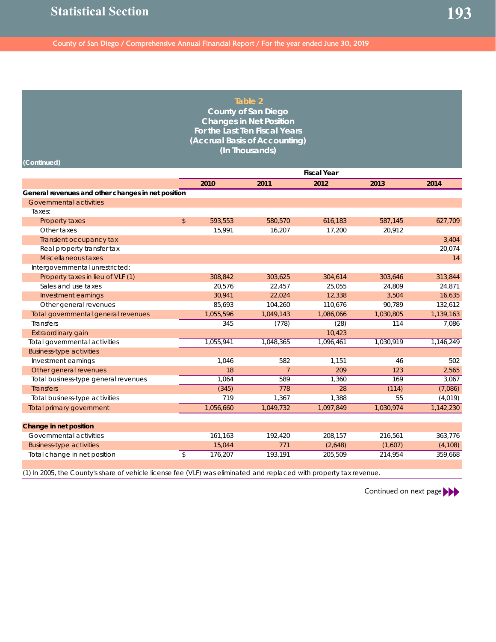|                                                                                                                     |                         | Table 2                        |                    |           |           |
|---------------------------------------------------------------------------------------------------------------------|-------------------------|--------------------------------|--------------------|-----------|-----------|
|                                                                                                                     |                         | <b>County of San Diego</b>     |                    |           |           |
|                                                                                                                     |                         | <b>Changes in Net Position</b> |                    |           |           |
|                                                                                                                     |                         | For the Last Ten Fiscal Years  |                    |           |           |
|                                                                                                                     |                         | (Accrual Basis of Accounting)  |                    |           |           |
|                                                                                                                     |                         | (In Thousands)                 |                    |           |           |
| (Continued)                                                                                                         |                         |                                |                    |           |           |
|                                                                                                                     |                         |                                | <b>Fiscal Year</b> |           |           |
|                                                                                                                     | 2010                    | 2011                           | 2012               | 2013      | 2014      |
| General revenues and other changes in net position                                                                  |                         |                                |                    |           |           |
| Governmental activities                                                                                             |                         |                                |                    |           |           |
| Taxes:                                                                                                              |                         |                                |                    |           |           |
| Property taxes                                                                                                      | \$<br>593,553           | 580,570                        | 616,183            | 587,145   | 627,709   |
| Other taxes                                                                                                         | 15,991                  | 16,207                         | 17,200             | 20,912    |           |
| Transient occupancy tax                                                                                             |                         |                                |                    |           | 3,404     |
| Real property transfer tax                                                                                          |                         |                                |                    |           | 20,074    |
| Miscellaneous taxes                                                                                                 |                         |                                |                    |           | 14        |
| Intergovernmental unrestricted:                                                                                     |                         |                                |                    |           |           |
| Property taxes in lieu of VLF (1)                                                                                   | 308,842                 | 303,625                        | 304,614            | 303,646   | 313,844   |
| Sales and use taxes                                                                                                 | 20,576                  | 22,457                         | 25,055             | 24,809    | 24,871    |
| Investment earnings                                                                                                 | 30,941                  | 22,024                         | 12,338             | 3,504     | 16,635    |
| Other general revenues                                                                                              | 85,693                  | 104,260                        | 110,676            | 90,789    | 132,612   |
| Total governmental general revenues                                                                                 | 1,055,596               | 1,049,143                      | 1,086,066          | 1,030,805 | 1,139,163 |
| <b>Transfers</b>                                                                                                    | 345                     | (778)                          | (28)               | 114       | 7,086     |
| Extraordinary gain                                                                                                  |                         |                                | 10,423             |           |           |
| Total governmental activities                                                                                       | 1,055,941               | 1,048,365                      | 1,096,461          | 1,030,919 | 1,146,249 |
| <b>Business-type activities</b>                                                                                     |                         |                                |                    |           |           |
| Investment earnings                                                                                                 | 1,046                   | 582                            | 1,151              | 46        | 502       |
| Other general revenues                                                                                              | 18                      | $\overline{7}$                 | 209                | 123       | 2,565     |
| Total business-type general revenues                                                                                | 1,064                   | 589                            | 1,360              | 169       | 3,067     |
| <b>Transfers</b>                                                                                                    | (345)                   | 778                            | 28                 | (114)     | (7,086)   |
| Total business-type activities                                                                                      | 719                     | 1,367                          | 1,388              | 55        | (4,019)   |
| Total primary government                                                                                            | 1,056,660               | 1,049,732                      | 1,097,849          | 1,030,974 | 1,142,230 |
|                                                                                                                     |                         |                                |                    |           |           |
| Change in net position                                                                                              |                         |                                |                    |           |           |
| Governmental activities                                                                                             | 161,163                 | 192,420                        | 208,157            | 216,561   | 363,776   |
| <b>Business-type activities</b>                                                                                     | \$<br>15,044<br>176,207 | 771<br>193,191                 | (2,648)            | (1,607)   | (4, 108)  |
| Total change in net position                                                                                        |                         |                                | 205,509            | 214,954   | 359,668   |
| (1) In 2005, the County's share of vehicle license fee (VLF) was eliminated and replaced with property tax revenue. |                         |                                |                    |           |           |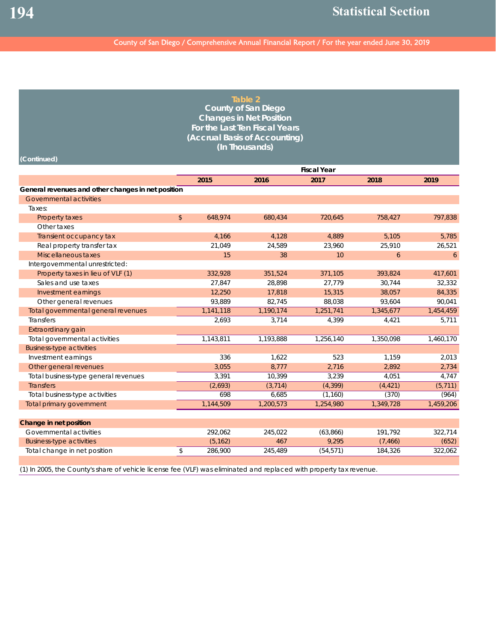|                                                                                                                     |                          |           | <b>Table 2</b><br><b>County of San Diego</b>                    |                    |           |           |
|---------------------------------------------------------------------------------------------------------------------|--------------------------|-----------|-----------------------------------------------------------------|--------------------|-----------|-----------|
|                                                                                                                     |                          |           | <b>Changes in Net Position</b><br>For the Last Ten Fiscal Years |                    |           |           |
|                                                                                                                     |                          |           |                                                                 |                    |           |           |
|                                                                                                                     |                          |           | (Accrual Basis of Accounting)<br>(In Thousands)                 |                    |           |           |
|                                                                                                                     |                          |           |                                                                 |                    |           |           |
| (Continued)                                                                                                         |                          |           |                                                                 |                    |           |           |
|                                                                                                                     |                          |           |                                                                 | <b>Fiscal Year</b> |           |           |
|                                                                                                                     |                          | 2015      | 2016                                                            | 2017               | 2018      | 2019      |
| General revenues and other changes in net position                                                                  |                          |           |                                                                 |                    |           |           |
| Governmental activities                                                                                             |                          |           |                                                                 |                    |           |           |
| Taxes:                                                                                                              |                          |           |                                                                 |                    |           |           |
| Property taxes                                                                                                      | $\mathfrak{D}$           | 648,974   | 680,434                                                         | 720,645            | 758,427   | 797,838   |
| Other taxes                                                                                                         |                          |           |                                                                 |                    |           |           |
| Transient occupancy tax                                                                                             |                          | 4,166     | 4,128                                                           | 4,889              | 5,105     | 5,785     |
| Real property transfer tax                                                                                          |                          | 21,049    | 24,589                                                          | 23,960             | 25,910    | 26,521    |
| Miscellaneous taxes                                                                                                 |                          | 15        | 38                                                              | 10                 | 6         | 6         |
| Intergovernmental unrestricted:                                                                                     |                          |           |                                                                 |                    |           |           |
| Property taxes in lieu of VLF (1)                                                                                   |                          | 332,928   | 351,524                                                         | 371,105            | 393,824   | 417,601   |
| Sales and use taxes                                                                                                 |                          | 27,847    | 28,898                                                          | 27,779             | 30,744    | 32,332    |
| Investment earnings                                                                                                 |                          | 12,250    | 17,818                                                          | 15,315             | 38,057    | 84,335    |
| Other general revenues                                                                                              |                          | 93,889    | 82,745                                                          | 88,038             | 93,604    | 90,041    |
| Total governmental general revenues                                                                                 |                          | 1,141,118 | 1,190,174                                                       | 1,251,741          | 1,345,677 | 1,454,459 |
| Transfers                                                                                                           |                          | 2,693     | 3,714                                                           | 4,399              | 4,421     | 5,711     |
| Extraordinary gain                                                                                                  |                          |           |                                                                 |                    |           |           |
| Total governmental activities                                                                                       |                          | 1,143,811 | 1,193,888                                                       | 1,256,140          | 1,350,098 | 1,460,170 |
| <b>Business-type activities</b>                                                                                     |                          |           |                                                                 |                    |           |           |
| Investment earnings                                                                                                 |                          | 336       | 1,622                                                           | 523                | 1,159     | 2,013     |
| Other general revenues                                                                                              |                          | 3,055     | 8,777                                                           | 2,716              | 2,892     | 2,734     |
| Total business-type general revenues                                                                                |                          | 3,391     | 10,399                                                          | 3,239              | 4,051     | 4,747     |
| <b>Transfers</b>                                                                                                    |                          | (2,693)   | (3, 714)                                                        | (4, 399)           | (4, 421)  | (5, 711)  |
| Total business-type activities                                                                                      |                          | 698       | 6,685                                                           | (1, 160)           | (370)     | (964)     |
| Total primary government                                                                                            |                          | 1,144,509 | 1,200,573                                                       | 1,254,980          | 1,349,728 | 1,459,206 |
|                                                                                                                     |                          |           |                                                                 |                    |           |           |
| Change in net position                                                                                              |                          |           |                                                                 |                    |           |           |
| Governmental activities                                                                                             |                          | 292,062   | 245,022                                                         | (63,866)           | 191,792   | 322,714   |
| <b>Business-type activities</b>                                                                                     |                          | (5, 162)  | 467                                                             | 9,295              | (7, 466)  | (652)     |
| Total change in net position                                                                                        | $\overline{\mathcal{S}}$ | 286,900   | 245,489                                                         | (54, 571)          | 184,326   | 322,062   |
| (1) In 2005, the County's share of vehicle license fee (VLF) was eliminated and replaced with property tax revenue. |                          |           |                                                                 |                    |           |           |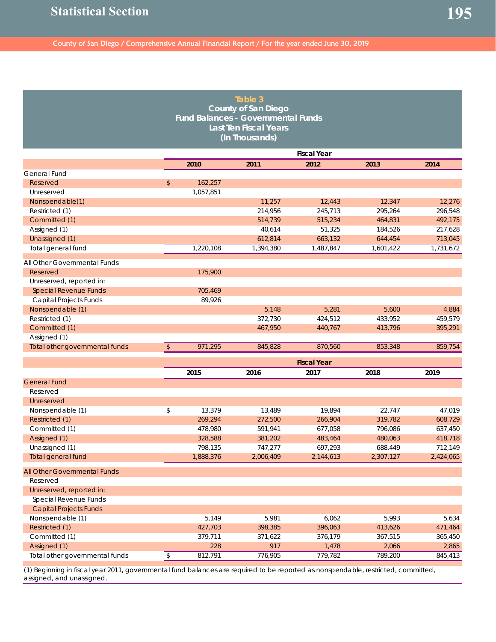|                                |            |           | Table 3<br><b>County of San Diego</b><br><b>Fund Balances - Governmental Funds</b><br><b>Last Ten Fiscal Years</b><br>(In Thousands) |                    |           |                    |
|--------------------------------|------------|-----------|--------------------------------------------------------------------------------------------------------------------------------------|--------------------|-----------|--------------------|
|                                |            |           |                                                                                                                                      | <b>Fiscal Year</b> |           |                    |
|                                |            | 2010      | 2011                                                                                                                                 | 2012               | 2013      | 2014               |
| General Fund                   |            |           |                                                                                                                                      |                    |           |                    |
| Reserved                       | \$         | 162,257   |                                                                                                                                      |                    |           |                    |
| Unreserved                     |            | 1,057,851 |                                                                                                                                      |                    |           |                    |
| Nonspendable(1)                |            |           | 11,257                                                                                                                               | 12,443             | 12,347    | 12,276             |
| Restricted (1)                 |            |           | 214,956                                                                                                                              | 245,713            | 295,264   | 296,548            |
| Committed (1)                  |            |           | 514,739                                                                                                                              | 515,234            | 464,831   | 492,175            |
| Assigned (1)                   |            |           | 40,614                                                                                                                               | 51,325             | 184,526   | 217,628            |
| Unassigned (1)                 |            |           | 612,814                                                                                                                              | 663,132            | 644,454   | 713,045            |
| Total general fund             |            | 1,220,108 | 1,394,380                                                                                                                            | 1,487,847          | 1,601,422 | 1,731,672          |
| All Other Governmental Funds   |            |           |                                                                                                                                      |                    |           |                    |
| Reserved                       |            | 175,900   |                                                                                                                                      |                    |           |                    |
| Unreserved, reported in:       |            |           |                                                                                                                                      |                    |           |                    |
| <b>Special Revenue Funds</b>   |            | 705,469   |                                                                                                                                      |                    |           |                    |
| Capital Projects Funds         |            | 89.926    |                                                                                                                                      |                    |           |                    |
| Nonspendable (1)               |            |           | 5,148                                                                                                                                | 5,281              | 5,600     | 4,884              |
| Restricted (1)                 |            |           | 372,730                                                                                                                              | 424,512            | 433,952   | 459,579            |
| Committed (1)                  |            |           | 467,950                                                                                                                              | 440,767            | 413,796   | 395,291            |
| Assigned (1)                   |            |           |                                                                                                                                      |                    |           |                    |
| Total other governmental funds | $\sqrt{2}$ | 971,295   | 845,828                                                                                                                              | 870,560            | 853,348   | 859,754            |
|                                |            |           |                                                                                                                                      |                    |           |                    |
|                                |            |           |                                                                                                                                      | <b>Fiscal Year</b> |           |                    |
|                                |            | 2015      | 2016                                                                                                                                 | 2017               | 2018      | 2019               |
| <b>General Fund</b>            |            |           |                                                                                                                                      |                    |           |                    |
| Reserved                       |            |           |                                                                                                                                      |                    |           |                    |
| Unreserved                     |            |           |                                                                                                                                      |                    |           |                    |
| Nonspendable (1)               | \$         | 13,379    | 13,489                                                                                                                               | 19,894             | 22,747    | 47,019             |
| Restricted (1)                 |            | 269,294   | 272,500                                                                                                                              | 266,904            | 319,782   | 608,729            |
| Committed (1)                  |            | 478,980   | 591,941                                                                                                                              | 677,058            | 796,086   | 637,450            |
| Assigned (1)                   |            | 328,588   | 381,202                                                                                                                              | 483,464            | 480,063   | 418,718<br>712,149 |
| Unassigned (1)                 |            | 798,135   | 747,277                                                                                                                              | 697,293            | 688,449   |                    |
| Total general fund             |            | 1,888,376 | 2,006,409                                                                                                                            | 2,144,613          | 2,307,127 | 2,424,065          |
| All Other Governmental Funds   |            |           |                                                                                                                                      |                    |           |                    |
| Reserved                       |            |           |                                                                                                                                      |                    |           |                    |
| Unreserved, reported in:       |            |           |                                                                                                                                      |                    |           |                    |
| Special Revenue Funds          |            |           |                                                                                                                                      |                    |           |                    |
| <b>Capital Projects Funds</b>  |            |           |                                                                                                                                      |                    |           |                    |
| Nonspendable (1)               |            | 5,149     | 5,981                                                                                                                                | 6,062              | 5,993     | 5,634              |
| Restricted (1)                 |            | 427,703   | 398,385                                                                                                                              | 396,063            | 413,626   | 471,464            |
| Committed (1)                  |            | 379,711   | 371,622                                                                                                                              | 376,179            | 367,515   | 365,450            |
| Assigned (1)                   |            | 228       | 917                                                                                                                                  | 1,478              | 2,066     | 2,865              |
| Total other governmental funds | \$         | 812,791   | 776,905                                                                                                                              | 779,782            | 789,200   | 845,413            |

(1) Beginning in fiscal year 2011, governmental fund balances are required to be reported as nonspendable, restricted, committed, assigned, and unassigned.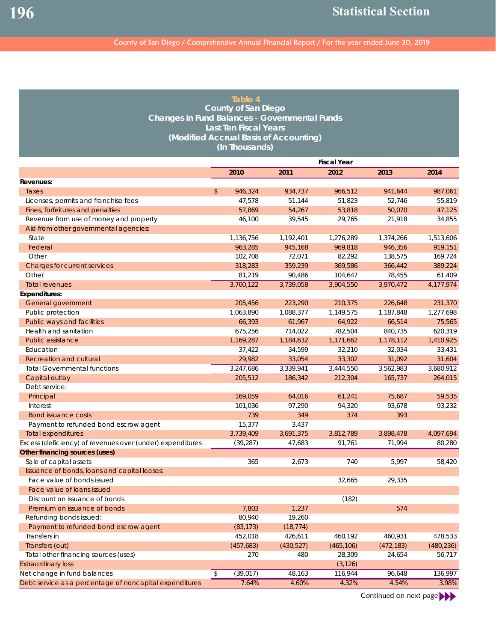| Table 4                                              |
|------------------------------------------------------|
| County of San Diego                                  |
| <b>Changes in Fund Balances - Governmental Funds</b> |
| <b>Last Ten Fiscal Years</b>                         |
| (Modified Accrual Basis of Accounting)               |
| (In Thousands)                                       |

|                                                           |                 |           | <b>Fiscal Year</b> |            |            |
|-----------------------------------------------------------|-----------------|-----------|--------------------|------------|------------|
|                                                           | 2010            | 2011      | 2012               | 2013       | 2014       |
| Revenues:                                                 |                 |           |                    |            |            |
| Taxes                                                     | \$<br>946,324   | 934,737   | 966,512            | 941,644    | 987,061    |
| Licenses, permits and franchise fees                      | 47,578          | 51,144    | 51,823             | 52,746     | 55,819     |
| Fines, forfeitures and penalties                          | 57,869          | 54,267    | 53,818             | 50,070     | 47,125     |
| Revenue from use of money and property                    | 46,100          | 39,545    | 29,765             | 21,918     | 34,855     |
| Aid from other governmental agencies:                     |                 |           |                    |            |            |
| State                                                     | 1,136,756       | 1,192,401 | 1,276,289          | 1,374,266  | 1,513,606  |
| Federal                                                   | 963,285         | 945,168   | 969,818            | 946,356    | 919,151    |
| Other                                                     | 102,708         | 72,071    | 82,292             | 138,575    | 169,724    |
| Charges for current services                              | 318,283         | 359,239   | 369,586            | 366,442    | 389,224    |
| Other                                                     | 81,219          | 90,486    | 104,647            | 78,455     | 61,409     |
| <b>Total revenues</b>                                     | 3,700,122       | 3,739,058 | 3,904,550          | 3,970,472  | 4,177,974  |
| <b>Expenditures:</b>                                      |                 |           |                    |            |            |
| General government                                        | 205,456         | 223,290   | 210,375            | 226,648    | 231,370    |
| Public protection                                         | 1,063,890       | 1,088,377 | 1,149,575          | 1,187,848  | 1,277,698  |
| Public ways and facilities                                | 66,393          | 61,967    | 64,922             | 66,514     | 75,565     |
| Health and sanitation                                     | 675,256         | 714,022   | 782,504            | 840,735    | 620,319    |
| <b>Public assistance</b>                                  | 1,169,287       | 1,184,632 | 1,171,662          | 1,178,112  | 1,410,925  |
| Education                                                 | 37,422          | 34,599    | 32,210             | 32,034     | 33,431     |
| <b>Recreation and cultural</b>                            | 29,982          | 33,054    | 33,302             | 31,092     | 31,604     |
| <b>Total Governmental functions</b>                       | 3,247,686       | 3,339,941 | 3,444,550          | 3,562,983  | 3,680,912  |
| Capital outlay                                            | 205,512         | 186,342   | 212.304            | 165,737    | 264,015    |
| Debt service:                                             |                 |           |                    |            |            |
| Principal                                                 | 169,059         | 64,016    | 61,241             | 75,687     | 59,535     |
| Interest                                                  | 101,036         | 97,290    | 94,320             | 93,678     | 93,232     |
| <b>Bond issuance costs</b>                                | 739             | 349       | 374                | 393        |            |
| Payment to refunded bond escrow agent                     | 15,377          | 3,437     |                    |            |            |
| <b>Total expenditures</b>                                 | 3,739,409       | 3,691,375 | 3,812,789          | 3,898,478  | 4,097,694  |
| Excess (deficiency) of revenues over (under) expenditures | (39, 287)       | 47,683    | 91,761             | 71,994     | 80,280     |
| <b>Other financing sources (uses)</b>                     |                 |           |                    |            |            |
| Sale of capital assets                                    | 365             | 2,673     | 740                | 5,997      | 58,420     |
| Issuance of bonds, loans and capital leases:              |                 |           |                    |            |            |
| Face value of bonds issued                                |                 |           | 32,665             | 29,335     |            |
| Face value of loans issued                                |                 |           |                    |            |            |
| Discount on issuance of bonds                             |                 |           | (182)              |            |            |
| Premium on issuance of bonds                              | 7,803           | 1,237     |                    | 574        |            |
| Refunding bonds issued:                                   | 80,940          | 19,260    |                    |            |            |
| Payment to refunded bond escrow agent                     | (83, 173)       | (18, 774) |                    |            |            |
| Transfers in                                              | 452,018         | 426,611   | 460,192            | 460,931    | 478,533    |
| Transfers (out)                                           | (457, 683)      | (430,527) | (465, 106)         | (472, 183) | (480, 236) |
| Total other financing sources (uses)                      | 270             | 480       | 28,309             | 24,654     | 56,717     |
|                                                           |                 |           |                    |            |            |
| <b>Extraordinary loss</b>                                 |                 |           | (3, 126)           |            | 136,997    |
| Net change in fund balances                               | \$<br>(39, 017) | 48,163    | 116,944            | 96,648     |            |
| Debt service as a percentage of noncapital expenditures   | 7.64%           | 4.60%     | 4.32%              | 4.54%      | 3.98%      |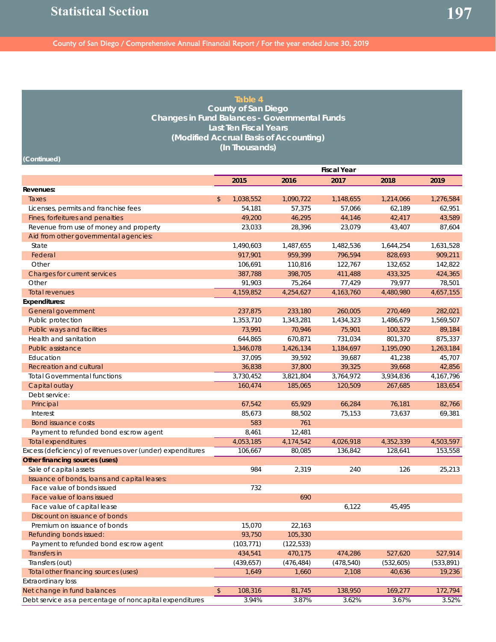| Table 4<br><b>County of San Diego</b><br><b>Changes in Fund Balances - Governmental Funds</b><br><b>Last Ten Fiscal Years</b><br>(Modified Accrual Basis of Accounting)<br>(In Thousands)<br>(Continued) |            |            |             |                    |           |             |  |  |  |  |  |
|----------------------------------------------------------------------------------------------------------------------------------------------------------------------------------------------------------|------------|------------|-------------|--------------------|-----------|-------------|--|--|--|--|--|
|                                                                                                                                                                                                          |            |            |             | <b>Fiscal Year</b> |           |             |  |  |  |  |  |
|                                                                                                                                                                                                          |            | 2015       | 2016        | 2017               | 2018      | 2019        |  |  |  |  |  |
| Revenues:                                                                                                                                                                                                |            |            |             |                    |           |             |  |  |  |  |  |
| Taxes                                                                                                                                                                                                    | \$         | 1,038,552  | 1,090,722   | 1,148,655          | 1,214,066 | 1,276,584   |  |  |  |  |  |
| Licenses, permits and franchise fees                                                                                                                                                                     |            | 54,181     | 57,375      | 57,066             | 62,189    | 62,951      |  |  |  |  |  |
| Fines, forfeitures and penalties                                                                                                                                                                         |            | 49,200     | 46,295      | 44,146             | 42,417    | 43,589      |  |  |  |  |  |
| Revenue from use of money and property                                                                                                                                                                   |            | 23,033     | 28,396      | 23,079             | 43,407    | 87,604      |  |  |  |  |  |
| Aid from other governmental agencies:                                                                                                                                                                    |            |            |             |                    |           |             |  |  |  |  |  |
| State                                                                                                                                                                                                    |            | 1,490,603  | 1,487,655   | 1,482,536          | 1,644,254 | 1,631,528   |  |  |  |  |  |
| Federal                                                                                                                                                                                                  |            | 917.901    | 959,399     | 796,594            | 828,693   | 909,211     |  |  |  |  |  |
| Other                                                                                                                                                                                                    |            | 106,691    | 110,816     | 122,767            | 132,652   | 142,822     |  |  |  |  |  |
| Charges for current services                                                                                                                                                                             |            | 387,788    | 398,705     | 411,488            | 433,325   | 424,365     |  |  |  |  |  |
| Other                                                                                                                                                                                                    |            | 91,903     | 75,264      | 77,429             | 79,977    | 78,501      |  |  |  |  |  |
| <b>Total revenues</b>                                                                                                                                                                                    |            | 4,159,852  | 4,254,627   | 4, 163, 760        | 4,480,980 | 4,657,155   |  |  |  |  |  |
| <b>Expenditures:</b>                                                                                                                                                                                     |            |            |             |                    |           |             |  |  |  |  |  |
| General government                                                                                                                                                                                       |            | 237,875    | 233,180     | 260,005            | 270,469   | 282,021     |  |  |  |  |  |
| Public protection                                                                                                                                                                                        |            | 1,353,710  | 1,343,281   | 1,434,323          | 1,486,679 | 1,569,507   |  |  |  |  |  |
| Public ways and facilities                                                                                                                                                                               |            | 73,991     | 70,946      | 75,901             | 100,322   | 89,184      |  |  |  |  |  |
| Health and sanitation                                                                                                                                                                                    |            | 644,865    | 670,871     | 731,034            | 801,370   | 875,337     |  |  |  |  |  |
| Public assistance                                                                                                                                                                                        |            | 1,346,078  | 1,426,134   | 1,184,697          | 1,195,090 | 1,263,184   |  |  |  |  |  |
| Education                                                                                                                                                                                                |            | 37,095     | 39,592      | 39,687             | 41,238    | 45,707      |  |  |  |  |  |
| Recreation and cultural                                                                                                                                                                                  |            | 36,838     | 37,800      | 39,325             | 39,668    | 42,856      |  |  |  |  |  |
| <b>Total Governmental functions</b>                                                                                                                                                                      |            | 3,730,452  | 3,821,804   | 3,764,972          | 3,934,836 | 4, 167, 796 |  |  |  |  |  |
| Capital outlay                                                                                                                                                                                           |            | 160,474    | 185,065     | 120,509            | 267,685   | 183,654     |  |  |  |  |  |
| Debt service:                                                                                                                                                                                            |            |            |             |                    |           |             |  |  |  |  |  |
| Principal                                                                                                                                                                                                |            | 67,542     | 65,929      | 66,284             | 76,181    | 82,766      |  |  |  |  |  |
| Interest                                                                                                                                                                                                 |            | 85,673     | 88,502      | 75,153             | 73,637    | 69,381      |  |  |  |  |  |
| <b>Bond issuance costs</b>                                                                                                                                                                               |            | 583        | 761         |                    |           |             |  |  |  |  |  |
| Payment to refunded bond escrow agent                                                                                                                                                                    |            | 8,461      | 12,481      |                    |           |             |  |  |  |  |  |
| <b>Total expenditures</b>                                                                                                                                                                                |            | 4,053,185  | 4, 174, 542 | 4,026,918          | 4,352,339 | 4,503,597   |  |  |  |  |  |
| Excess (deficiency) of revenues over (under) expenditures                                                                                                                                                |            | 106,667    | 80,085      | 136,842            | 128,641   | 153,558     |  |  |  |  |  |
| Other financing sources (uses)                                                                                                                                                                           |            |            |             |                    |           |             |  |  |  |  |  |
| Sale of capital assets                                                                                                                                                                                   |            | 984        | 2,319       | 240                | 126       | 25,213      |  |  |  |  |  |
| Issuance of bonds, loans and capital leases:                                                                                                                                                             |            |            |             |                    |           |             |  |  |  |  |  |
| Face value of bonds issued                                                                                                                                                                               |            | 732        |             |                    |           |             |  |  |  |  |  |
| Face value of loans issued                                                                                                                                                                               |            |            | 690         |                    |           |             |  |  |  |  |  |
| Face value of capital lease                                                                                                                                                                              |            |            |             | 6,122              | 45,495    |             |  |  |  |  |  |
| Discount on issuance of bonds                                                                                                                                                                            |            |            |             |                    |           |             |  |  |  |  |  |
| Premium on issuance of bonds                                                                                                                                                                             |            | 15,070     | 22,163      |                    |           |             |  |  |  |  |  |
| Refunding bonds issued:                                                                                                                                                                                  |            | 93,750     | 105,330     |                    |           |             |  |  |  |  |  |
| Payment to refunded bond escrow agent                                                                                                                                                                    |            | (103, 771) | (122, 533)  |                    |           |             |  |  |  |  |  |
| Transfers in                                                                                                                                                                                             |            | 434,541    | 470,175     | 474,286            | 527,620   | 527,914     |  |  |  |  |  |
| Transfers (out)                                                                                                                                                                                          |            | (439, 657) | (476, 484)  | (478, 540)         | (532,605) | (533, 891)  |  |  |  |  |  |
| Total other financing sources (uses)                                                                                                                                                                     |            | 1,649      | 1,660       | 2,108              | 40,636    | 19,236      |  |  |  |  |  |
| <b>Extraordinary loss</b>                                                                                                                                                                                |            |            |             |                    |           |             |  |  |  |  |  |
| Net change in fund balances                                                                                                                                                                              | $\sqrt{2}$ | 108,316    | 81,745      | 138,950            | 169,277   | 172,794     |  |  |  |  |  |
| Debt service as a percentage of noncapital expenditures                                                                                                                                                  |            | 3.94%      | 3.87%       | 3.62%              | 3.67%     | 3.52%       |  |  |  |  |  |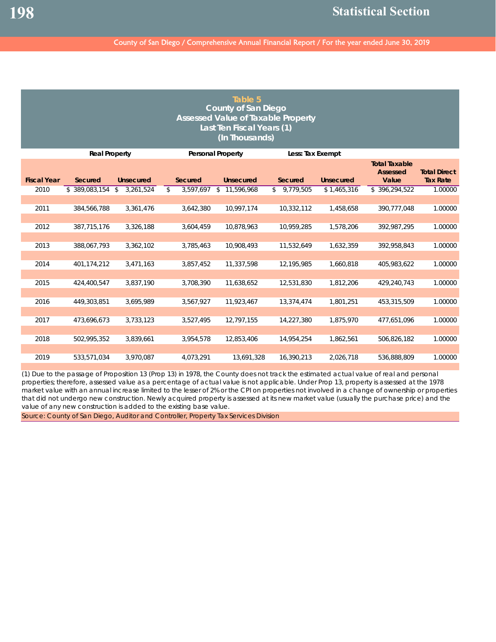| Table 5<br><b>County of San Diego</b><br><b>Assessed Value of Taxable Property</b><br>Last Ten Fiscal Years (1)<br>(In Thousands) |                      |                  |                                |                          |                    |                  |                                                  |                                        |  |  |  |  |
|-----------------------------------------------------------------------------------------------------------------------------------|----------------------|------------------|--------------------------------|--------------------------|--------------------|------------------|--------------------------------------------------|----------------------------------------|--|--|--|--|
|                                                                                                                                   | <b>Real Property</b> |                  |                                | <b>Personal Property</b> | Less: Tax Exempt   |                  |                                                  |                                        |  |  |  |  |
| <b>Fiscal Year</b>                                                                                                                | Secured              | <b>Unsecured</b> | <b>Secured</b>                 | <b>Unsecured</b>         | <b>Secured</b>     | <b>Unsecured</b> | <b>Total Taxable</b><br><b>Assessed</b><br>Value | <b>Total Direct</b><br><b>Tax Rate</b> |  |  |  |  |
| 2010                                                                                                                              | \$389.083.154        | 3,261,524<br>\$  | $\mathbb{S}$<br>$3.597.697$ \$ | 11.596.968               | $\sqrt{9,779,505}$ | \$1,465,316      | \$396,294,522                                    | 1.00000                                |  |  |  |  |
| 2011                                                                                                                              | 384,566,788          | 3,361,476        | 3,642,380                      | 10,997,174               | 10,332,112         | 1,458,658        | 390.777.048                                      | 1.00000                                |  |  |  |  |
| 2012                                                                                                                              | 387,715,176          | 3,326,188        | 3,604,459                      | 10.878.963               | 10,959,285         | 1.578.206        | 392.987.295                                      | 1.00000                                |  |  |  |  |
| 2013                                                                                                                              | 388,067,793          | 3,362,102        | 3,785,463                      | 10,908,493               | 11,532,649         | 1,632,359        | 392,958,843                                      | 1.00000                                |  |  |  |  |
| 2014                                                                                                                              | 401,174,212          | 3,471,163        | 3,857,452                      | 11,337,598               | 12,195,985         | 1,660,818        | 405,983,622                                      | 1.00000                                |  |  |  |  |
|                                                                                                                                   |                      |                  |                                |                          |                    |                  |                                                  |                                        |  |  |  |  |
| 2015                                                                                                                              | 424,400,547          | 3,837,190        | 3,708,390                      | 11,638,652               | 12,531,830         | 1,812,206        | 429,240,743                                      | 1.00000                                |  |  |  |  |
| 2016                                                                                                                              | 449,303,851          | 3.695.989        | 3,567,927                      | 11.923.467               | 13.374.474         | 1.801.251        | 453,315,509                                      | 1.00000                                |  |  |  |  |
| 2017                                                                                                                              | 473.696.673          | 3,733,123        | 3,527,495                      | 12,797,155               | 14,227,380         | 1.875.970        | 477.651.096                                      | 1.00000                                |  |  |  |  |
|                                                                                                                                   |                      |                  |                                |                          |                    |                  |                                                  |                                        |  |  |  |  |
| 2018                                                                                                                              | 502,995,352          | 3,839,661        | 3,954,578                      | 12.853.406               | 14,954,254         | 1,862,561        | 506,826,182                                      | 1.00000                                |  |  |  |  |
| 2019                                                                                                                              | 533,571,034          | 3,970,087        | 4,073,291                      | 13,691,328               | 16,390,213         | 2,026,718        | 536,888,809                                      | 1.00000                                |  |  |  |  |

(1) Due to the passage of Proposition 13 (Prop 13) in 1978, the County does not track the estimated actual value of real and personal properties; therefore, assessed value as a percentage of actual value is not applicable. Under Prop 13, property is assessed at the 1978 market value with an annual increase limited to the lesser of 2% or the CPI on properties not involved in a change of ownership or properties that did not undergo new construction. Newly acquired property is assessed at its new market value (usually the purchase price) and the value of any new construction is added to the existing base value.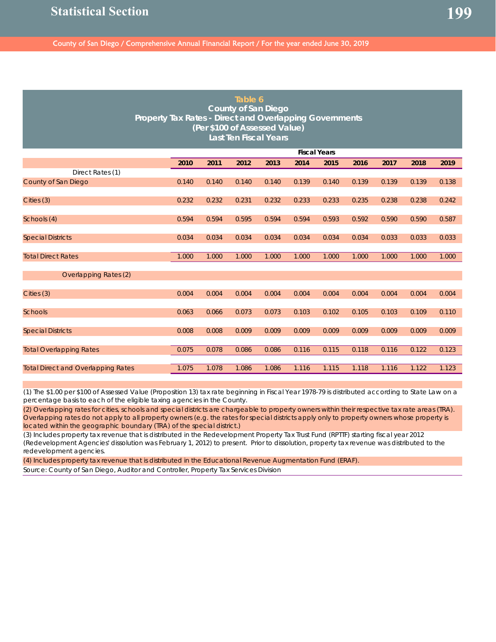| Table 6<br><b>County of San Diego</b><br>Property Tax Rates - Direct and Overlapping Governments<br>(Per \$100 of Assessed Value)<br><b>Last Ten Fiscal Years</b> |                     |                                                                      |       |       |       |       |       |       |       |       |
|-------------------------------------------------------------------------------------------------------------------------------------------------------------------|---------------------|----------------------------------------------------------------------|-------|-------|-------|-------|-------|-------|-------|-------|
|                                                                                                                                                                   | <b>Fiscal Years</b> |                                                                      |       |       |       |       |       |       |       |       |
|                                                                                                                                                                   | 2010                | 2011<br>2012<br>2013<br>2014<br>2015<br>2016<br>2018<br>2019<br>2017 |       |       |       |       |       |       |       |       |
| Direct Rates (1)                                                                                                                                                  |                     |                                                                      |       |       |       |       |       |       |       |       |
| County of San Diego                                                                                                                                               | 0.140               | 0.140                                                                | 0.140 | 0.140 | 0.139 | 0.140 | 0.139 | 0.139 | 0.139 | 0.138 |
|                                                                                                                                                                   |                     |                                                                      |       |       |       |       |       |       |       |       |
| Cities (3)                                                                                                                                                        | 0.232               | 0.232                                                                | 0.231 | 0.232 | 0.233 | 0.233 | 0.235 | 0.238 | 0.238 | 0.242 |
| Schools (4)                                                                                                                                                       | 0.594               | 0.594                                                                | 0.595 | 0.594 | 0.594 | 0.593 | 0.592 | 0.590 | 0.590 | 0.587 |
|                                                                                                                                                                   |                     |                                                                      |       |       |       |       |       |       |       |       |
| <b>Special Districts</b>                                                                                                                                          | 0.034               | 0.034                                                                | 0.034 | 0.034 | 0.034 | 0.034 | 0.034 | 0.033 | 0.033 | 0.033 |
|                                                                                                                                                                   |                     |                                                                      |       |       |       |       |       |       |       |       |
| <b>Total Direct Rates</b>                                                                                                                                         | 1.000               | 1.000                                                                | 1.000 | 1.000 | 1.000 | 1.000 | 1.000 | 1.000 | 1.000 | 1.000 |
|                                                                                                                                                                   |                     |                                                                      |       |       |       |       |       |       |       |       |
| Overlapping Rates (2)                                                                                                                                             |                     |                                                                      |       |       |       |       |       |       |       |       |
|                                                                                                                                                                   |                     |                                                                      |       |       |       |       |       |       |       |       |
| Cities (3)                                                                                                                                                        | 0.004               | 0.004                                                                | 0.004 | 0.004 | 0.004 | 0.004 | 0.004 | 0.004 | 0.004 | 0.004 |
| <b>Schools</b>                                                                                                                                                    | 0.063               | 0.066                                                                | 0.073 | 0.073 | 0.103 | 0.102 | 0.105 | 0.103 | 0.109 | 0.110 |
|                                                                                                                                                                   |                     |                                                                      |       |       |       |       |       |       |       |       |
| <b>Special Districts</b>                                                                                                                                          | 0.008               | 0.008                                                                | 0.009 | 0.009 | 0.009 | 0.009 | 0.009 | 0.009 | 0.009 | 0.009 |
|                                                                                                                                                                   |                     |                                                                      |       |       |       |       |       |       |       |       |
| <b>Total Overlapping Rates</b>                                                                                                                                    | 0.075               | 0.078                                                                | 0.086 | 0.086 | 0.116 | 0.115 | 0.118 | 0.116 | 0.122 | 0.123 |
|                                                                                                                                                                   |                     |                                                                      |       |       |       |       |       |       |       |       |
| <b>Total Direct and Overlapping Rates</b>                                                                                                                         | 1.075               | 1.078                                                                | 1.086 | 1.086 | 1.116 | 1.115 | 1.118 | 1.116 | 1.122 | 1.123 |

(1) The \$1.00 per \$100 of Assessed Value (Proposition 13) tax rate beginning in Fiscal Year 1978-79 is distributed according to State Law on a percentage basis to each of the eligible taxing agencies in the County.

(2) Overlapping rates for cities, schools and special districts are chargeable to property owners within their respective tax rate areas (TRA). Overlapping rates do not apply to all property owners (e.g. the rates for special districts apply only to property owners whose property is located within the geographic boundary (TRA) of the special district.)

(3) Includes property tax revenue that is distributed in the Redevelopment Property Tax Trust Fund (RPTTF) starting fiscal year 2012 (Redevelopment Agencies' dissolution was February 1, 2012) to present. Prior to dissolution, property tax revenue was distributed to the redevelopment agencies.

(4) Includes property tax revenue that is distributed in the Educational Revenue Augmentation Fund (ERAF).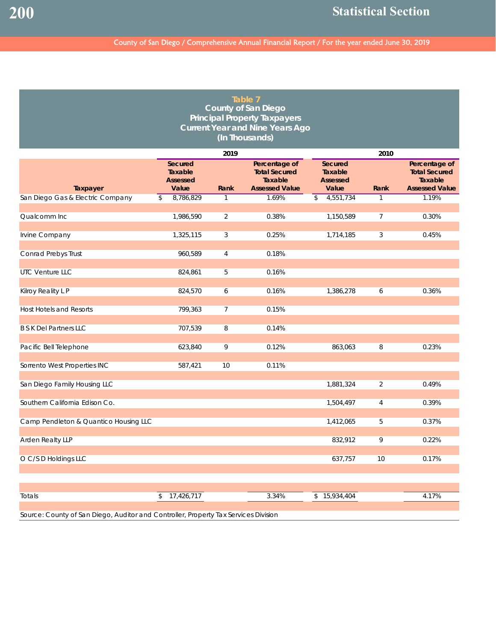| Table 7<br><b>County of San Diego</b><br><b>Principal Property Taxpayers</b><br><b>Current Year and Nine Years Ago</b><br>(In Thousands) |    |                                                |                |                                                                           |                                                       |                |                                                                           |  |  |
|------------------------------------------------------------------------------------------------------------------------------------------|----|------------------------------------------------|----------------|---------------------------------------------------------------------------|-------------------------------------------------------|----------------|---------------------------------------------------------------------------|--|--|
|                                                                                                                                          |    |                                                | 2019           |                                                                           |                                                       | 2010           |                                                                           |  |  |
| Taxpayer                                                                                                                                 |    | Secured<br>Taxable<br><b>Assessed</b><br>Value | Rank           | Percentage of<br><b>Total Secured</b><br>Taxable<br><b>Assessed Value</b> | Secured<br><b>Taxable</b><br><b>Assessed</b><br>Value | Rank           | Percentage of<br><b>Total Secured</b><br>Taxable<br><b>Assessed Value</b> |  |  |
| San Diego Gas & Electric Company                                                                                                         | \$ | 8,786,829                                      | 1              | 1.69%                                                                     | 4,551,734<br>\$                                       |                | 1.19%                                                                     |  |  |
| Qualcomm Inc                                                                                                                             |    | 1,986,590                                      | $\overline{2}$ | 0.38%                                                                     | 1,150,589                                             | $\overline{7}$ | 0.30%                                                                     |  |  |
| Irvine Company                                                                                                                           |    | 1,325,115                                      | 3              | 0.25%                                                                     | 1,714,185                                             | 3              | 0.45%                                                                     |  |  |
| Conrad Prebys Trust                                                                                                                      |    | 960,589                                        | $\overline{4}$ | 0.18%                                                                     |                                                       |                |                                                                           |  |  |
| UTC Venture LLC                                                                                                                          |    | 824,861                                        | 5              | 0.16%                                                                     |                                                       |                |                                                                           |  |  |
| Kilroy Reality L P                                                                                                                       |    | 824,570                                        | 6              | 0.16%                                                                     | 1,386,278                                             | 6              | 0.36%                                                                     |  |  |
| <b>Host Hotels and Resorts</b>                                                                                                           |    | 799,363                                        | $\overline{7}$ | 0.15%                                                                     |                                                       |                |                                                                           |  |  |
| <b>B S K Del Partners LLC</b>                                                                                                            |    | 707,539                                        | 8              | 0.14%                                                                     |                                                       |                |                                                                           |  |  |
| Pacific Bell Telephone                                                                                                                   |    | 623,840                                        | 9              | 0.12%                                                                     | 863,063                                               | 8              | 0.23%                                                                     |  |  |
| Sorrento West Properties INC                                                                                                             |    | 587,421                                        | 10             | 0.11%                                                                     |                                                       |                |                                                                           |  |  |
| San Diego Family Housing LLC                                                                                                             |    |                                                |                |                                                                           | 1,881,324                                             | 2              | 0.49%                                                                     |  |  |
| Southern California Edison Co.                                                                                                           |    |                                                |                |                                                                           | 1,504,497                                             | 4              | 0.39%                                                                     |  |  |
| Camp Pendleton & Quantico Housing LLC                                                                                                    |    |                                                |                |                                                                           | 1,412,065                                             | 5              | 0.37%                                                                     |  |  |
| Arden Realty LLP                                                                                                                         |    |                                                |                |                                                                           | 832,912                                               | 9              | 0.22%                                                                     |  |  |
| O C/S D Holdings LLC                                                                                                                     |    |                                                |                |                                                                           | 637,757                                               | 10             | 0.17%                                                                     |  |  |
|                                                                                                                                          |    |                                                |                |                                                                           |                                                       |                |                                                                           |  |  |
| Totals                                                                                                                                   | \$ | 17,426,717                                     |                | 3.34%                                                                     | \$15,934,404                                          |                | 4.17%                                                                     |  |  |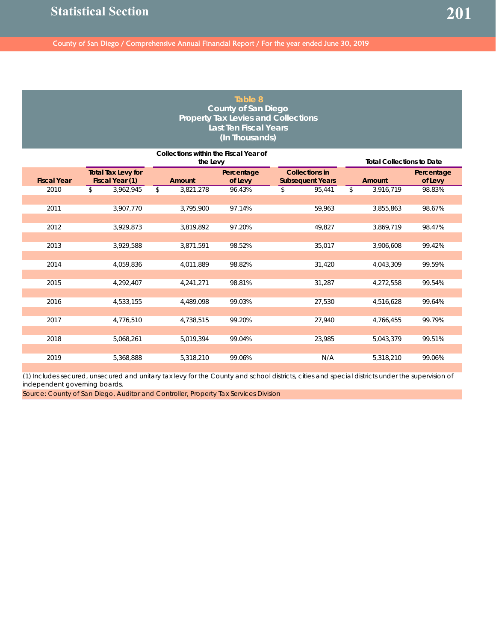#### **Table 8 County of San Diego Property Tax Levies and Collections Last Ten Fiscal Years (In Thousands)**

|                    |                                              |                    | <b>Total Collections to Date</b> |                                                  |                 |                       |
|--------------------|----------------------------------------------|--------------------|----------------------------------|--------------------------------------------------|-----------------|-----------------------|
| <b>Fiscal Year</b> | <b>Total Tax Levy for</b><br>Fiscal Year (1) | the Levy<br>Amount | Percentage<br>of Levy            | <b>Collections in</b><br><b>Subsequent Years</b> | Amount          | Percentage<br>of Levy |
| 2010               | 3,962,945<br>\$                              | \$<br>3,821,278    | 96.43%                           | 95,441<br>\$                                     | \$<br>3,916,719 | 98.83%                |
| 2011               | 3,907,770                                    | 3,795,900          | 97.14%                           | 59,963                                           | 3,855,863       | 98.67%                |
| 2012               | 3,929,873                                    | 3,819,892          | 97.20%                           | 49,827                                           | 3,869,719       | 98.47%                |
| 2013               | 3,929,588                                    | 3,871,591          | 98.52%                           | 35,017                                           | 3,906,608       | 99.42%                |
| 2014               | 4,059,836                                    | 4,011,889          | 98.82%                           | 31,420                                           | 4,043,309       | 99.59%                |
| 2015               | 4,292,407                                    | 4,241,271          | 98.81%                           | 31,287                                           | 4,272,558       | 99.54%                |
| 2016               | 4,533,155                                    | 4,489,098          | 99.03%                           | 27,530                                           | 4,516,628       | 99.64%                |
| 2017               | 4,776,510                                    | 4,738,515          | 99.20%                           | 27,940                                           | 4,766,455       | 99.79%                |
| 2018               | 5,068,261                                    | 5,019,394          | 99.04%                           | 23,985                                           | 5,043,379       | 99.51%                |
| 2019               | 5,368,888                                    | 5,318,210          | 99.06%                           | N/A                                              | 5,318,210       | 99.06%                |

(1) Includes secured, unsecured and unitary tax levy for the County and school districts, cities and special districts under the supervision of independent governing boards.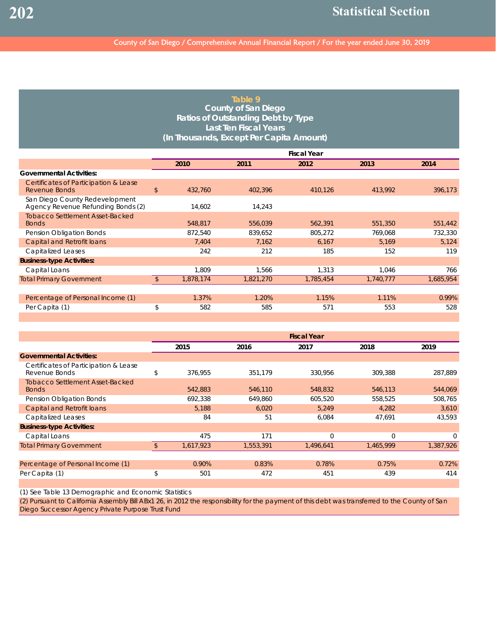## **Table 9 County of San Diego Ratios of Outstanding Debt by Type Last Ten Fiscal Years (In Thousands, Except Per Capita Amount)**

|                                    | <b>Fiscal Year</b> |           |           |           |           |  |  |  |
|------------------------------------|--------------------|-----------|-----------|-----------|-----------|--|--|--|
|                                    | 2010               | 2011      | 2012      | 2013      | 2014      |  |  |  |
|                                    |                    |           |           |           |           |  |  |  |
| \$                                 | 432,760            | 402,396   | 410,126   | 413,992   | 396,173   |  |  |  |
| Agency Revenue Refunding Bonds (2) | 14,602             | 14,243    |           |           |           |  |  |  |
|                                    | 548,817            | 556,039   | 562,391   | 551,350   | 551,442   |  |  |  |
|                                    | 872,540            | 839,652   | 805,272   | 769,068   | 732,330   |  |  |  |
|                                    | 7,404              | 7,162     | 6,167     | 5,169     | 5,124     |  |  |  |
|                                    | 242                | 212       | 185       | 152       | 119       |  |  |  |
|                                    |                    |           |           |           |           |  |  |  |
|                                    | 1,809              | 1,566     | 1,313     | 1,046     | 766       |  |  |  |
| \$                                 | 1,878,174          | 1,821,270 | 1,785,454 | 1,740,777 | 1,685,954 |  |  |  |
|                                    |                    |           |           |           |           |  |  |  |
|                                    | 1.37%              | 1.20%     | 1.15%     | 1.11%     | 0.99%     |  |  |  |
| \$                                 | 582                | 585       | 571       | 553       | 528       |  |  |  |
|                                    |                    |           |           |           |           |  |  |  |

|                                                        | <b>Fiscal Year</b> |           |           |             |             |  |  |  |
|--------------------------------------------------------|--------------------|-----------|-----------|-------------|-------------|--|--|--|
|                                                        | 2015               | 2016      | 2017      | 2018        | 2019        |  |  |  |
| <b>Governmental Activities:</b>                        |                    |           |           |             |             |  |  |  |
| Certificates of Participation & Lease<br>Revenue Bonds | \$<br>376,955      | 351,179   | 330,956   | 309,388     | 287,889     |  |  |  |
| <b>Tobacco Settlement Asset-Backed</b><br><b>Bonds</b> | 542,883            | 546,110   | 548,832   | 546,113     | 544,069     |  |  |  |
| Pension Obligation Bonds                               | 692.338            | 649.860   | 605,520   | 558,525     | 508.765     |  |  |  |
| <b>Capital and Retrofit loans</b>                      | 5,188              | 6,020     | 5,249     | 4,282       | 3,610       |  |  |  |
| <b>Capitalized Leases</b>                              | 84                 | 51        | 6,084     | 47,691      | 43,593      |  |  |  |
| <b>Business-type Activities:</b>                       |                    |           |           |             |             |  |  |  |
| Capital Loans                                          | 475                | 171       | $\Omega$  | $\mathbf 0$ | $\mathbf 0$ |  |  |  |
| <b>Total Primary Government</b>                        | 1,617,923          | 1,553,391 | 1,496,641 | 1,465,999   | 1,387,926   |  |  |  |
| Percentage of Personal Income (1)                      | 0.90%              | 0.83%     | 0.78%     | 0.75%       | 0.72%       |  |  |  |
| Per Capita (1)                                         | \$<br>501          | 472       | 451       | 439         | 414         |  |  |  |

(1) See Table 13 Demographic and Economic Statistics

(2) Pursuant to California Assembly Bill ABx1 26, in 2012 the responsibility for the payment of this debt was transferred to the County of San Diego Successor Agency Private Purpose Trust Fund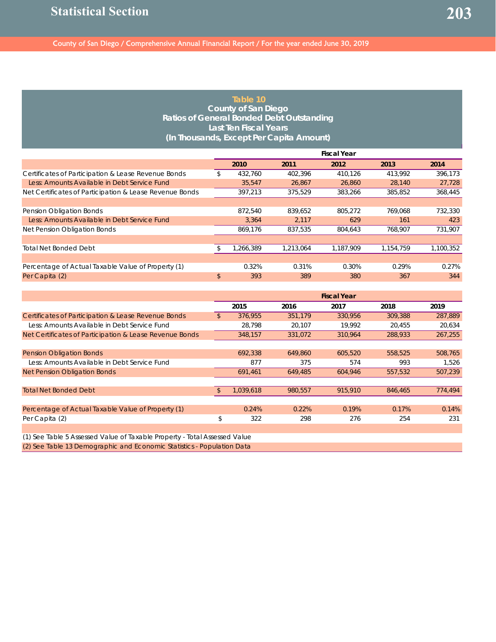#### **Table 10 County of San Diego Ratios of General Bonded Debt Outstanding Last Ten Fiscal Years (In Thousands, Except Per Capita Amount)**

|                                                         | <b>Fiscal Year</b> |          |           |           |           |           |
|---------------------------------------------------------|--------------------|----------|-----------|-----------|-----------|-----------|
|                                                         |                    | 2010     | 2011      | 2012      | 2013      | 2014      |
| Certificates of Participation & Lease Revenue Bonds     |                    | 432.760  | 402.396   | 410.126   | 413.992   | 396.173   |
| Less: Amounts Available in Debt Service Fund            |                    | 35,547   | 26.867    | 26,860    | 28,140    | 27.728    |
| Net Certificates of Participation & Lease Revenue Bonds |                    | 397.213  | 375.529   | 383.266   | 385.852   | 368,445   |
|                                                         |                    |          |           |           |           |           |
| Pension Obligation Bonds                                |                    | 872.540  | 839.652   | 805.272   | 769.068   | 732,330   |
| Less: Amounts Available in Debt Service Fund            |                    | 3.364    | 2,117     | 629       | 161       | 423       |
| Net Pension Obligation Bonds                            |                    | 869,176  | 837.535   | 804,643   | 768,907   | 731,907   |
|                                                         |                    |          |           |           |           |           |
| <b>Total Net Bonded Debt</b>                            |                    | ,266,389 | 1,213,064 | 1,187,909 | 1,154,759 | 1,100,352 |
|                                                         |                    |          |           |           |           |           |
| Percentage of Actual Taxable Value of Property (1)      |                    | 0.32%    | 0.31%     | 0.30%     | 0.29%     | 0.27%     |
| Per Capita (2)                                          | $\mathsf{\$}$      | 393      | 389       | 380       | 367       | 344       |

|                                                                           | <b>Fiscal Year</b> |         |         |         |         |  |
|---------------------------------------------------------------------------|--------------------|---------|---------|---------|---------|--|
|                                                                           | 2015               | 2016    | 2017    | 2018    | 2019    |  |
| Certificates of Participation & Lease Revenue Bonds                       | \$<br>376.955      | 351.179 | 330.956 | 309,388 | 287.889 |  |
| Less: Amounts Available in Debt Service Fund                              | 28,798             | 20,107  | 19,992  | 20,455  | 20,634  |  |
| Net Certificates of Participation & Lease Revenue Bonds                   | 348,157            | 331.072 | 310.964 | 288,933 | 267,255 |  |
|                                                                           |                    |         |         |         |         |  |
| <b>Pension Obligation Bonds</b>                                           | 692.338            | 649.860 | 605,520 | 558.525 | 508,765 |  |
| Less: Amounts Available in Debt Service Fund                              | 877                | 375     | 574     | 993     | 1,526   |  |
| <b>Net Pension Obligation Bonds</b>                                       | 691,461            | 649,485 | 604,946 | 557,532 | 507,239 |  |
|                                                                           |                    |         |         |         |         |  |
| <b>Total Net Bonded Debt</b>                                              | 1,039,618          | 980,557 | 915,910 | 846,465 | 774,494 |  |
|                                                                           |                    |         |         |         |         |  |
| Percentage of Actual Taxable Value of Property (1)                        | 0.24%              | 0.22%   | 0.19%   | 0.17%   | 0.14%   |  |
| Per Capita (2)                                                            | \$<br>322          | 298     | 276     | 254     | 231     |  |
|                                                                           |                    |         |         |         |         |  |
| (1) See Table 5 Assessed Value of Taxable Property - Total Assessed Value |                    |         |         |         |         |  |

(2) See Table 13 Demographic and Economic Statistics - Population Data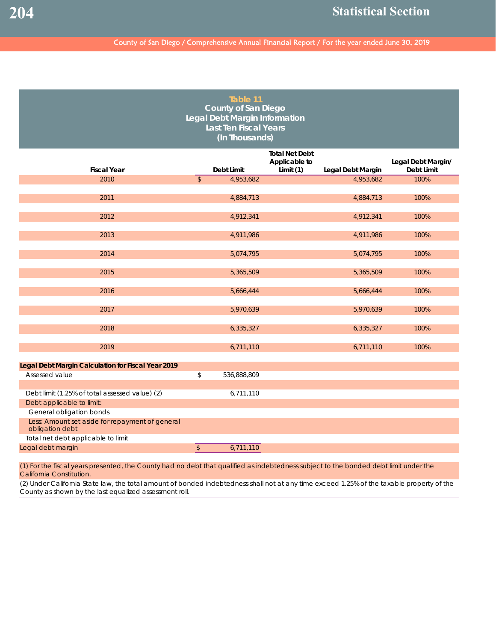| Table 11<br><b>County of San Diego</b><br>Legal Debt Margin Information<br><b>Last Ten Fiscal Years</b><br>(In Thousands) |                          |             |                                                     |                   |                                  |  |  |  |  |  |
|---------------------------------------------------------------------------------------------------------------------------|--------------------------|-------------|-----------------------------------------------------|-------------------|----------------------------------|--|--|--|--|--|
| <b>Fiscal Year</b>                                                                                                        |                          | Debt Limit  | <b>Total Net Debt</b><br>Applicable to<br>Limit (1) | Legal Debt Margin | Legal Debt Margin/<br>Debt Limit |  |  |  |  |  |
| 2010                                                                                                                      | $\overline{\mathcal{S}}$ | 4,953,682   |                                                     | 4,953,682         | 100%                             |  |  |  |  |  |
|                                                                                                                           |                          |             |                                                     |                   |                                  |  |  |  |  |  |
| 2011                                                                                                                      |                          | 4,884,713   |                                                     | 4,884,713         | 100%                             |  |  |  |  |  |
| 2012                                                                                                                      |                          | 4,912,341   |                                                     | 4,912,341         | 100%                             |  |  |  |  |  |
| 2013                                                                                                                      |                          | 4,911,986   |                                                     | 4,911,986         | 100%                             |  |  |  |  |  |
| 2014                                                                                                                      |                          | 5,074,795   |                                                     | 5,074,795         | 100%                             |  |  |  |  |  |
| 2015                                                                                                                      |                          | 5,365,509   |                                                     | 5,365,509         | 100%                             |  |  |  |  |  |
| 2016                                                                                                                      |                          | 5,666,444   |                                                     | 5,666,444         | 100%                             |  |  |  |  |  |
| 2017                                                                                                                      |                          | 5,970,639   |                                                     | 5,970,639         | 100%                             |  |  |  |  |  |
| 2018                                                                                                                      |                          | 6,335,327   |                                                     | 6,335,327         | 100%                             |  |  |  |  |  |
| 2019                                                                                                                      |                          | 6,711,110   |                                                     | 6,711,110         | 100%                             |  |  |  |  |  |
| Legal Debt Margin Calculation for Fiscal Year 2019                                                                        |                          |             |                                                     |                   |                                  |  |  |  |  |  |
| Assessed value                                                                                                            | \$                       | 536,888,809 |                                                     |                   |                                  |  |  |  |  |  |
| Debt limit (1.25% of total assessed value) (2)                                                                            |                          | 6,711,110   |                                                     |                   |                                  |  |  |  |  |  |
| Debt applicable to limit:                                                                                                 |                          |             |                                                     |                   |                                  |  |  |  |  |  |
| General obligation bonds                                                                                                  |                          |             |                                                     |                   |                                  |  |  |  |  |  |
| Less: Amount set aside for repayment of general<br>obligation debt                                                        |                          |             |                                                     |                   |                                  |  |  |  |  |  |
| Total net debt applicable to limit                                                                                        |                          |             |                                                     |                   |                                  |  |  |  |  |  |
| Legal debt margin                                                                                                         | $\sqrt{2}$               | 6,711,110   |                                                     |                   |                                  |  |  |  |  |  |

(1) For the fiscal years presented, the County had no debt that qualified as indebtedness subject to the bonded debt limit under the California Constitution.

(2) Under California State law, the total amount of bonded indebtedness shall not at any time exceed 1.25% of the taxable property of the County as shown by the last equalized assessment roll.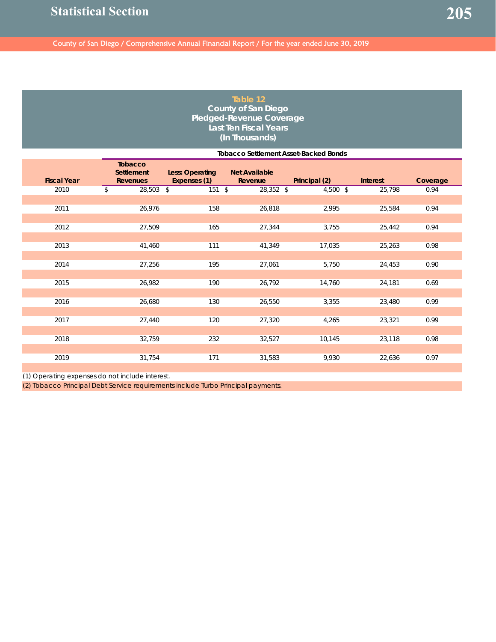### **Table 12 County of San Diego Pledged-Revenue Coverage Last Ten Fiscal Years (In Thousands)**

|                    | <b>Tobacco Settlement Asset-Backed Bonds</b>           |                                        |                                 |               |                 |          |  |  |  |  |
|--------------------|--------------------------------------------------------|----------------------------------------|---------------------------------|---------------|-----------------|----------|--|--|--|--|
| <b>Fiscal Year</b> | <b>Tobacco</b><br><b>Settlement</b><br><b>Revenues</b> | <b>Less: Operating</b><br>Expenses (1) | <b>Net Available</b><br>Revenue | Principal (2) | <b>Interest</b> | Coverage |  |  |  |  |
| 2010               | 28,503 \$<br>\$                                        | $151$ \$                               | 28,352 \$                       | 4,500 \$      | 25,798          | 0.94     |  |  |  |  |
|                    |                                                        |                                        |                                 |               |                 |          |  |  |  |  |
| 2011               | 26,976                                                 | 158                                    | 26,818                          | 2,995         | 25,584          | 0.94     |  |  |  |  |
|                    |                                                        |                                        |                                 |               |                 |          |  |  |  |  |
| 2012               | 27,509                                                 | 165                                    | 27,344                          | 3,755         | 25,442          | 0.94     |  |  |  |  |
|                    |                                                        |                                        |                                 |               |                 |          |  |  |  |  |
| 2013               | 41,460                                                 | 111                                    | 41,349                          | 17,035        | 25,263          | 0.98     |  |  |  |  |
|                    |                                                        |                                        |                                 |               |                 |          |  |  |  |  |
| 2014               | 27,256                                                 | 195                                    | 27,061                          | 5,750         | 24,453          | 0.90     |  |  |  |  |
| 2015               | 26,982                                                 | 190                                    | 26,792                          | 14,760        | 24,181          | 0.69     |  |  |  |  |
|                    |                                                        |                                        |                                 |               |                 |          |  |  |  |  |
| 2016               | 26,680                                                 | 130                                    | 26,550                          | 3,355         | 23,480          | 0.99     |  |  |  |  |
|                    |                                                        |                                        |                                 |               |                 |          |  |  |  |  |
| 2017               | 27,440                                                 | 120                                    | 27,320                          | 4,265         | 23,321          | 0.99     |  |  |  |  |
|                    |                                                        |                                        |                                 |               |                 |          |  |  |  |  |
| 2018               | 32,759                                                 | 232                                    | 32,527                          | 10,145        | 23,118          | 0.98     |  |  |  |  |
|                    |                                                        |                                        |                                 |               |                 |          |  |  |  |  |
| 2019               | 31,754                                                 | 171                                    | 31,583                          | 9,930         | 22,636          | 0.97     |  |  |  |  |

(1) Operating expenses do not include interest.

(2) Tobacco Principal Debt Service requirements include Turbo Principal payments.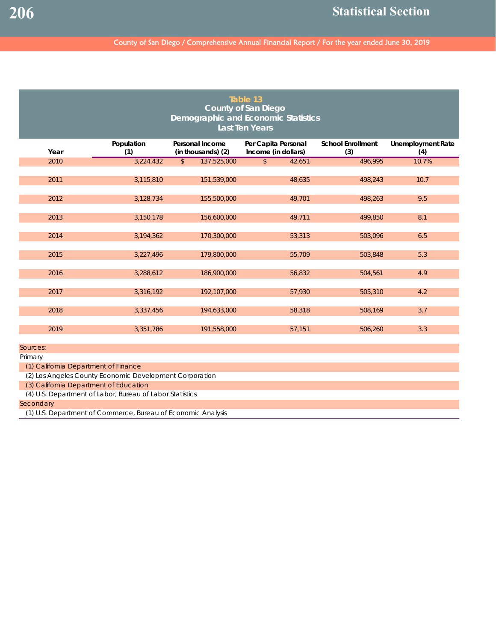# County of San Diego / Comprehensive Annual Financial Report / For the year ended June 30, 2019

| Table 13<br><b>County of San Diego</b><br><b>Demographic and Economic Statistics</b><br><b>Last Ten Years</b> |                                                          |                                              |                                            |                                 |                                 |  |  |  |  |
|---------------------------------------------------------------------------------------------------------------|----------------------------------------------------------|----------------------------------------------|--------------------------------------------|---------------------------------|---------------------------------|--|--|--|--|
| Year                                                                                                          | Population<br>(1)                                        | <b>Personal Income</b><br>(in thousands) (2) | Per Capita Personal<br>Income (in dollars) | <b>School Enrollment</b><br>(3) | <b>Unemployment Rate</b><br>(4) |  |  |  |  |
| 2010                                                                                                          | 3,224,432                                                | 137,525,000<br>$\mathfrak{S}$                | $\mathbb{S}$<br>42,651                     | 496,995                         | 10.7%                           |  |  |  |  |
| 2011                                                                                                          | 3,115,810                                                | 151,539,000                                  | 48,635                                     | 498,243                         | 10.7                            |  |  |  |  |
| 2012                                                                                                          | 3,128,734                                                | 155,500,000                                  | 49,701                                     | 498,263                         | 9.5                             |  |  |  |  |
| 2013                                                                                                          | 3,150,178                                                | 156,600,000                                  | 49,711                                     | 499,850                         | 8.1                             |  |  |  |  |
| 2014                                                                                                          | 3,194,362                                                | 170,300,000                                  | 53,313                                     | 503,096                         | 6.5                             |  |  |  |  |
| 2015                                                                                                          | 3,227,496                                                | 179,800,000                                  | 55,709                                     | 503,848                         | 5.3                             |  |  |  |  |
| 2016                                                                                                          | 3,288,612                                                | 186,900,000                                  | 56,832                                     | 504,561                         | 4.9                             |  |  |  |  |
| 2017                                                                                                          | 3,316,192                                                | 192,107,000                                  | 57,930                                     | 505,310                         | 4.2                             |  |  |  |  |
| 2018                                                                                                          | 3,337,456                                                | 194,633,000                                  | 58,318                                     | 508,169                         | 3.7                             |  |  |  |  |
| 2019                                                                                                          | 3,351,786                                                | 191,558,000                                  | 57,151                                     | 506,260                         | 3.3                             |  |  |  |  |
| Sources:                                                                                                      |                                                          |                                              |                                            |                                 |                                 |  |  |  |  |
| Primary                                                                                                       |                                                          |                                              |                                            |                                 |                                 |  |  |  |  |
| (1) California Department of Finance                                                                          |                                                          |                                              |                                            |                                 |                                 |  |  |  |  |
|                                                                                                               | (2) Los Angeles County Economic Development Corporation  |                                              |                                            |                                 |                                 |  |  |  |  |
| (3) California Department of Education                                                                        |                                                          |                                              |                                            |                                 |                                 |  |  |  |  |
|                                                                                                               | (4) U.S. Department of Labor, Bureau of Labor Statistics |                                              |                                            |                                 |                                 |  |  |  |  |
| Secondary                                                                                                     |                                                          |                                              |                                            |                                 |                                 |  |  |  |  |

(1) U.S. Department of Commerce, Bureau of Economic Analysis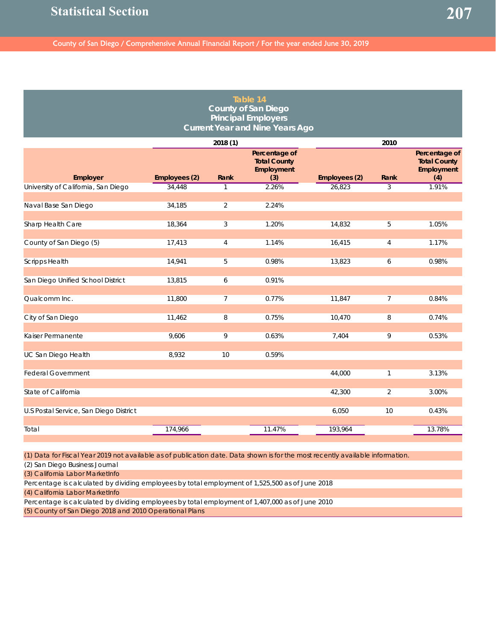| Table 14<br><b>County of San Diego</b><br><b>Principal Employers</b><br><b>Current Year and Nine Years Ago</b> |               |                |                                                           |               |                |                                                           |  |  |  |  |
|----------------------------------------------------------------------------------------------------------------|---------------|----------------|-----------------------------------------------------------|---------------|----------------|-----------------------------------------------------------|--|--|--|--|
|                                                                                                                |               | 2018 (1)       |                                                           |               | 2010           |                                                           |  |  |  |  |
| Employer                                                                                                       | Employees (2) | Rank           | Percentage of<br><b>Total County</b><br>Employment<br>(3) | Employees (2) | Rank           | Percentage of<br><b>Total County</b><br>Employment<br>(4) |  |  |  |  |
| University of California, San Diego                                                                            | 34,448        | $\mathbf{1}$   | 2.26%                                                     | 26,823        | 3              | 1.91%                                                     |  |  |  |  |
| Naval Base San Diego                                                                                           | 34,185        | $\overline{2}$ | 2.24%                                                     |               |                |                                                           |  |  |  |  |
| Sharp Health Care                                                                                              | 18,364        | 3              | 1.20%                                                     | 14,832        | 5              | 1.05%                                                     |  |  |  |  |
| County of San Diego (5)                                                                                        | 17,413        | $\overline{4}$ | 1.14%                                                     | 16,415        | $\overline{4}$ | 1.17%                                                     |  |  |  |  |
| <b>Scripps Health</b>                                                                                          | 14,941        | 5              | 0.98%                                                     | 13,823        | 6              | 0.98%                                                     |  |  |  |  |
| San Diego Unified School District                                                                              | 13,815        | 6              | 0.91%                                                     |               |                |                                                           |  |  |  |  |
| Qualcomm Inc.                                                                                                  | 11,800        | 7              | 0.77%                                                     | 11,847        | $\overline{7}$ | 0.84%                                                     |  |  |  |  |
| City of San Diego                                                                                              | 11,462        | 8              | 0.75%                                                     | 10,470        | 8              | 0.74%                                                     |  |  |  |  |
| Kaiser Permanente                                                                                              | 9,606         | 9              | 0.63%                                                     | 7,404         | 9              | 0.53%                                                     |  |  |  |  |
| UC San Diego Health                                                                                            | 8,932         | 10             | 0.59%                                                     |               |                |                                                           |  |  |  |  |
| <b>Federal Government</b>                                                                                      |               |                |                                                           | 44,000        | $\mathbf{1}$   | 3.13%                                                     |  |  |  |  |
| State of California                                                                                            |               |                |                                                           | 42,300        | $\overline{2}$ | 3.00%                                                     |  |  |  |  |
| U.S Postal Service, San Diego District                                                                         |               |                |                                                           | 6,050         | 10             | 0.43%                                                     |  |  |  |  |
| Total                                                                                                          | 174,966       |                | 11.47%                                                    | 193,964       |                | 13.78%                                                    |  |  |  |  |

(1) Data for Fiscal Year 2019 not available as of publication date. Data shown is for the most recently available information.

(2) San Diego Business Journal

(3) California Labor MarketInfo

Percentage is calculated by dividing employees by total employment of 1,525,500 as of June 2018 (4) California Labor MarketInfo

Percentage is calculated by dividing employees by total employment of 1,407,000 as of June 2010

(5) County of San Diego 2018 and 2010 Operational Plans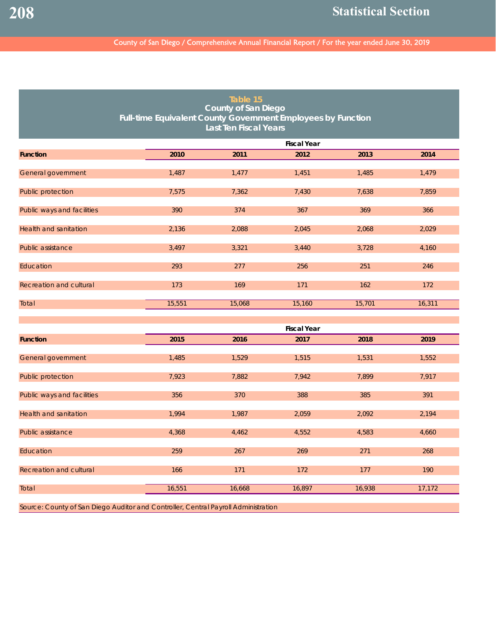# County of San Diego / Comprehensive Annual Financial Report / For the year ended June 30, 2019

| Table 15<br><b>County of San Diego</b><br>Full-time Equivalent County Government Employees by Function<br><b>Last Ten Fiscal Years</b> |        |        |                    |        |        |  |  |  |  |
|----------------------------------------------------------------------------------------------------------------------------------------|--------|--------|--------------------|--------|--------|--|--|--|--|
|                                                                                                                                        |        |        | <b>Fiscal Year</b> |        |        |  |  |  |  |
| <b>Function</b>                                                                                                                        | 2010   | 2011   | 2012               | 2013   | 2014   |  |  |  |  |
| General government                                                                                                                     | 1,487  | 1,477  | 1,451              | 1,485  | 1,479  |  |  |  |  |
| Public protection                                                                                                                      | 7,575  | 7,362  | 7,430              | 7,638  | 7,859  |  |  |  |  |
| Public ways and facilities                                                                                                             | 390    | 374    | 367                | 369    | 366    |  |  |  |  |
| <b>Health and sanitation</b>                                                                                                           | 2,136  | 2,088  | 2,045              | 2,068  | 2,029  |  |  |  |  |
| Public assistance                                                                                                                      | 3,497  | 3,321  | 3,440              | 3,728  | 4,160  |  |  |  |  |
| Education                                                                                                                              | 293    | 277    | 256                | 251    | 246    |  |  |  |  |
| Recreation and cultural                                                                                                                | 173    | 169    | 171                | 162    | 172    |  |  |  |  |
| Total                                                                                                                                  | 15,551 | 15,068 | 15,160             | 15,701 | 16,311 |  |  |  |  |
|                                                                                                                                        |        |        | <b>Fiscal Year</b> |        |        |  |  |  |  |
| <b>Function</b>                                                                                                                        | 2015   | 2016   | 2017               | 2018   | 2019   |  |  |  |  |
| General government                                                                                                                     | 1,485  | 1,529  | 1,515              | 1,531  | 1,552  |  |  |  |  |
| Public protection                                                                                                                      | 7,923  | 7,882  | 7,942              | 7,899  | 7,917  |  |  |  |  |
| Public ways and facilities                                                                                                             | 356    | 370    | 388                | 385    | 391    |  |  |  |  |
| <b>Health and sanitation</b>                                                                                                           | 1,994  | 1,987  | 2,059              | 2,092  | 2,194  |  |  |  |  |
| Public assistance                                                                                                                      | 4,368  | 4,462  | 4,552              | 4,583  | 4,660  |  |  |  |  |
| Education                                                                                                                              | 259    | 267    | 269                | 271    | 268    |  |  |  |  |
| Recreation and cultural                                                                                                                | 166    | 171    | 172                | 177    | 190    |  |  |  |  |
| Total                                                                                                                                  | 16,551 | 16,668 | 16,897             | 16,938 | 17,172 |  |  |  |  |
| Source: County of San Diego Auditor and Controller, Central Payroll Administration                                                     |        |        |                    |        |        |  |  |  |  |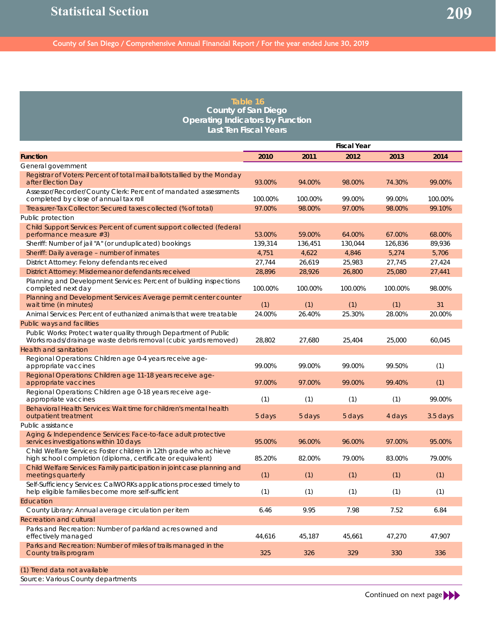#### **Table 16 County of San Diego Operating Indicators by Function Last Ten Fiscal Years**

|                                                                                                                                     | <b>Fiscal Year</b> |         |         |         |            |  |
|-------------------------------------------------------------------------------------------------------------------------------------|--------------------|---------|---------|---------|------------|--|
| <b>Function</b>                                                                                                                     | 2010               | 2011    | 2012    | 2013    | 2014       |  |
| General government                                                                                                                  |                    |         |         |         |            |  |
| Registrar of Voters: Percent of total mail ballots tallied by the Monday<br>after Election Day                                      | 93.00%             | 94.00%  | 98.00%  | 74.30%  | 99.00%     |  |
| Assessor/Recorder/County Clerk: Percent of mandated assessments<br>completed by close of annual tax roll                            | 100.00%            | 100.00% | 99.00%  | 99.00%  | 100.00%    |  |
| Treasurer-Tax Collector: Secured taxes collected (% of total)                                                                       | 97.00%             | 98.00%  | 97.00%  | 98.00%  | 99.10%     |  |
| Public protection                                                                                                                   |                    |         |         |         |            |  |
| Child Support Services: Percent of current support collected (federal<br>performance measure #3)                                    | 53.00%             | 59.00%  | 64.00%  | 67.00%  | 68.00%     |  |
| Sheriff: Number of jail "A" (or unduplicated) bookings                                                                              | 139,314            | 136.451 | 130,044 | 126,836 | 89,936     |  |
| Sheriff: Daily average - number of inmates                                                                                          | 4,751              | 4,622   | 4,846   | 5,274   | 5,706      |  |
| District Attorney: Felony defendants received                                                                                       | 27,744             | 26,619  | 25,983  | 27,745  | 27,424     |  |
| District Attorney: Misdemeanor defendants received                                                                                  | 28,896             | 28,926  | 26,800  | 25,080  | 27,441     |  |
| Planning and Development Services: Percent of building inspections<br>completed next day                                            | 100.00%            | 100.00% | 100.00% | 100.00% | 98.00%     |  |
| Planning and Development Services: Average permit center counter<br>wait time (in minutes)                                          | (1)                | (1)     | (1)     | (1)     | 31         |  |
| Animal Services: Percent of euthanized animals that were treatable                                                                  | 24.00%             | 26.40%  | 25.30%  | 28.00%  | 20.00%     |  |
| Public ways and facilities                                                                                                          |                    |         |         |         |            |  |
| Public Works: Protect water quality through Department of Public<br>Works roads/drainage waste debris removal (cubic yards removed) | 28.802             | 27,680  | 25,404  | 25,000  | 60,045     |  |
| Health and sanitation                                                                                                               |                    |         |         |         |            |  |
| Regional Operations: Children age 0-4 years receive age-<br>appropriate vaccines                                                    | 99.00%             | 99.00%  | 99.00%  | 99.50%  | (1)        |  |
| Regional Operations: Children age 11-18 years receive age-<br>appropriate vaccines                                                  | 97.00%             | 97.00%  | 99.00%  | 99.40%  | (1)        |  |
| Regional Operations: Children age 0-18 years receive age-<br>appropriate vaccines                                                   | (1)                | (1)     | (1)     | (1)     | 99.00%     |  |
| Behavioral Health Services: Wait time for children's mental health<br>outpatient treatment                                          | 5 days             | 5 days  | 5 days  | 4 days  | $3.5$ days |  |
| Public assistance                                                                                                                   |                    |         |         |         |            |  |
| Aging & Independence Services: Face-to-face adult protective<br>services investigations within 10 days                              | 95.00%             | 96.00%  | 96.00%  | 97.00%  | 95.00%     |  |
| Child Welfare Services: Foster children in 12th grade who achieve<br>high school completion (diploma, certificate or equivalent)    | 85.20%             | 82.00%  | 79.00%  | 83.00%  | 79.00%     |  |
| Child Welfare Services: Family participation in joint case planning and<br>meetings quarterly                                       | (1)                | (1)     | (1)     | (1)     | (1)        |  |
| Self-Sufficiency Services: CalWORKs applications processed timely to<br>help eligible families become more self-sufficient          | (1)                | (1)     | (1)     | (1)     | (1)        |  |
| Education                                                                                                                           |                    |         |         |         |            |  |
| County Library: Annual average circulation per item                                                                                 | 6.46               | 9.95    | 7.98    | 7.52    | 6.84       |  |
| Recreation and cultural                                                                                                             |                    |         |         |         |            |  |
| Parks and Recreation: Number of parkland acres owned and<br>effectively managed                                                     | 44,616             | 45,187  | 45,661  | 47,270  | 47,907     |  |
| Parks and Recreation: Number of miles of trails managed in the<br>County trails program                                             | 325                | 326     | 329     | 330     | 336        |  |
| (1) Trend data not available                                                                                                        |                    |         |         |         |            |  |
| Source: Various County departments                                                                                                  |                    |         |         |         |            |  |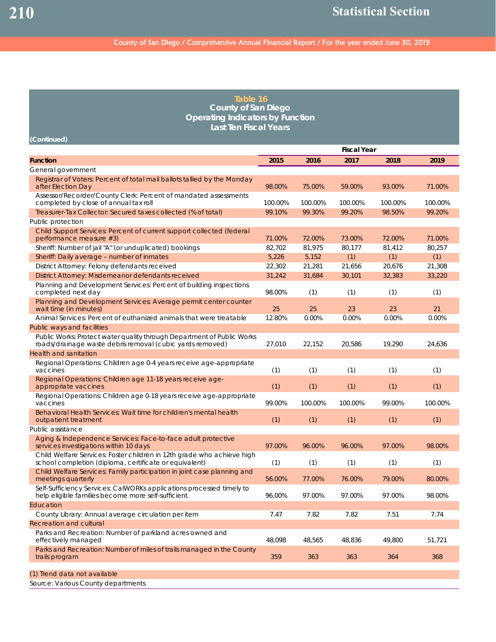**(Continued)**

#### County of San Diego / Comprehensive Annual Financial Report / For the year ended June 30, 2019

| Table 16                                |  |  |  |  |  |  |
|-----------------------------------------|--|--|--|--|--|--|
| County of San Diego                     |  |  |  |  |  |  |
| <b>Operating Indicators by Function</b> |  |  |  |  |  |  |
| Last Ten Fiscal Years                   |  |  |  |  |  |  |

**Fiscal Year Function 2015 2016 2017 2018 2019** General government Registrar of Voters: Percent of total mail ballots tallied by the Monday after Election Day 98.00% 75.00% 59.00% 93.00% 71.00% Assessor/Recorder/County Clerk: Percent of mandated assessments completed by close of annual tax roll 100.00% 100.00% 100.00% 100.00% 100.00% Treasurer-Tax Collector: Secured taxes collected (% of total) 99.10% 99.30% 99.20% 98.50% 99.20% Public protection Child Support Services: Percent of current support collected (federal performance measure #3) 71.00% 72.00% 73.00% 72.00% 71.00% Sheriff: Number of jail "A" (or unduplicated) bookings 82,702 81,975 80,177 81,412 80,257 Sheriff: Daily average – number of inmates 5,226 5,152 (1) (1) (1) (1) District Attorney: Felony defendants received 22,302 21,281 21,656 20,676 21,308 District Attorney: Misdemeanor defendants received 31,242 31,684 30,101 32,383 33,220 Planning and Development Services: Percent of building inspections completed next day (1) (1) (1) (1) (1) (1) (1) Planning and Development Services: Average permit center counter wait time (in minutes) 25 25 23 23 21 21 Animal Services: Percent of euthanized animals that were treatable  $12.80\%$  0.00% 0.00% 0.00% 0.00% 0.00% Public ways and facilities Public Works: Protect water quality through Department of Public Works roads/drainage waste debris removal (cubic yards removed) 27,010 22,152 20,586 19,290 24,636 Health and sanitation Regional Operations: Children age 0-4 years receive age-appropriate vaccines (1) (1) (1) (1) (1) (1) (1) (1) (1) Regional Operations: Children age 11-18 years receive ageappropriate vaccines (1) (1) (1) (1) (1) (1) (1) (1) Regional Operations: Children age 0-18 years receive age-appropriate vaccines 99.00% 100.00% 100.00% 99.00% 100.00% Behavioral Health Services: Wait time for children's mental health outpatient treatment (1) (1) (1) (1) (1) Public assistance Aging & Independence Services: Face-to-face adult protective services investigations within 10 days 97.00% 96.00% 96.00% 97.00% 98.00% Child Welfare Services: Foster children in 12th grade who achieve high school completion (diploma, certificate or equivalent) (1) (1) (1) (1) (1) (1) (1) Child Welfare Services: Family participation in joint case planning and meetings quarterly 56.00% 77.00% 76.00% 79.00% 80.00% Self-Sufficiency Services: CalWORKs applications processed timely to help eligible families become more self-sufficient  $\frac{96.00\%}{97.00\%}$  97.00% 97.00% 97.00% 98.00% **Education** County Library: Annual average circulation per item 7.47 7.82 7.82 7.51 7.74 Recreation and cultural Parks and Recreation: Number of parkland acres owned and effectively managed 48,098 48,565 48,836 49,800 51,721 Parks and Recreation: Number of miles of trails managed in the County trails program 368 364 368 364 368 364 368 364 368 364 368 364 368 364 368 364 368 364 368 368 368 364 368 368 (1) Trend data not available

Source: Various County departments